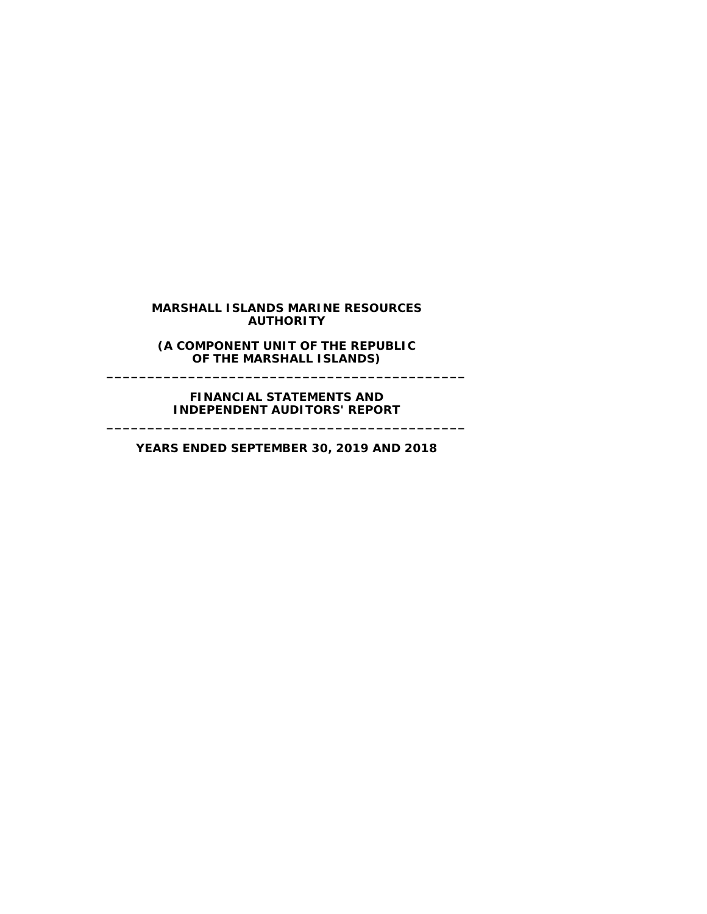**(A COMPONENT UNIT OF THE REPUBLIC OF THE MARSHALL ISLANDS) \_\_\_\_\_\_\_\_\_\_\_\_\_\_\_\_\_\_\_\_\_\_\_\_\_\_\_\_\_\_\_\_\_\_\_\_\_\_\_\_\_\_\_\_**

# **FINANCIAL STATEMENTS AND INDEPENDENT AUDITORS' REPORT \_\_\_\_\_\_\_\_\_\_\_\_\_\_\_\_\_\_\_\_\_\_\_\_\_\_\_\_\_\_\_\_\_\_\_\_\_\_\_\_\_\_\_\_**

**YEARS ENDED SEPTEMBER 30, 2019 AND 2018**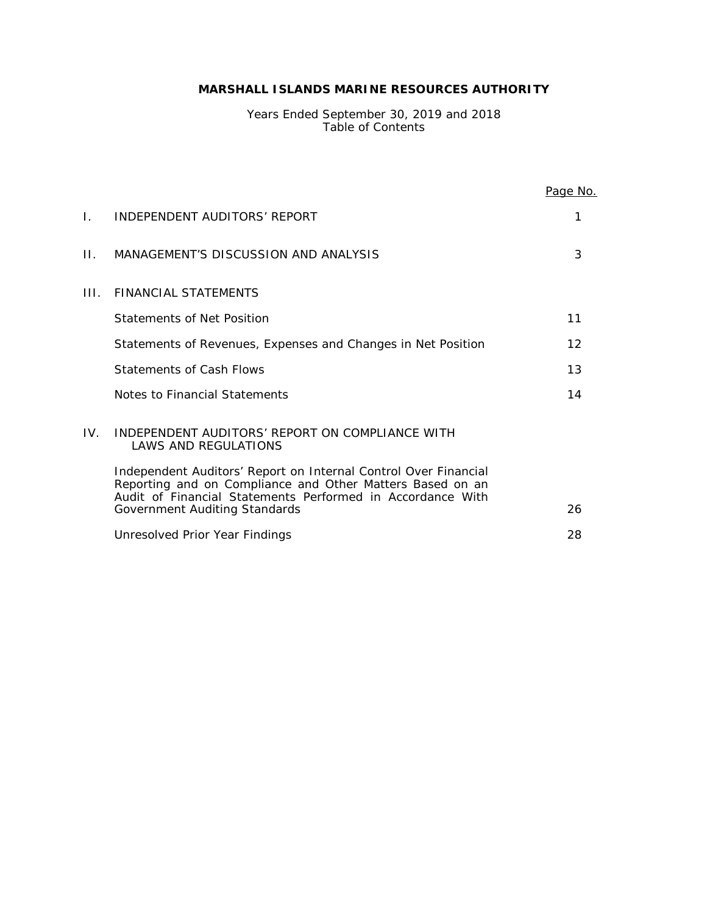Years Ended September 30, 2019 and 2018 Table of Contents

|          |                                                                                                                                                                                            | Page No. |
|----------|--------------------------------------------------------------------------------------------------------------------------------------------------------------------------------------------|----------|
| L.       | INDEPENDENT AUDITORS' REPORT                                                                                                                                                               | 1        |
| П.       | MANAGEMENT'S DISCUSSION AND ANALYSIS                                                                                                                                                       | 3        |
| HL.      | <b>FINANCIAL STATEMENTS</b>                                                                                                                                                                |          |
|          | Statements of Net Position                                                                                                                                                                 | 11       |
|          | Statements of Revenues, Expenses and Changes in Net Position                                                                                                                               | 12       |
|          | Statements of Cash Flows                                                                                                                                                                   | 13       |
|          | Notes to Financial Statements                                                                                                                                                              | 14       |
| $IV_{-}$ | INDEPENDENT AUDITORS' REPORT ON COMPLIANCE WITH<br><b>LAWS AND REGULATIONS</b>                                                                                                             |          |
|          | Independent Auditors' Report on Internal Control Over Financial<br>Reporting and on Compliance and Other Matters Based on an<br>Audit of Financial Statements Performed in Accordance With |          |
|          | Government Auditing Standards                                                                                                                                                              | 26       |
|          | Unresolved Prior Year Findings                                                                                                                                                             | 28       |
|          |                                                                                                                                                                                            |          |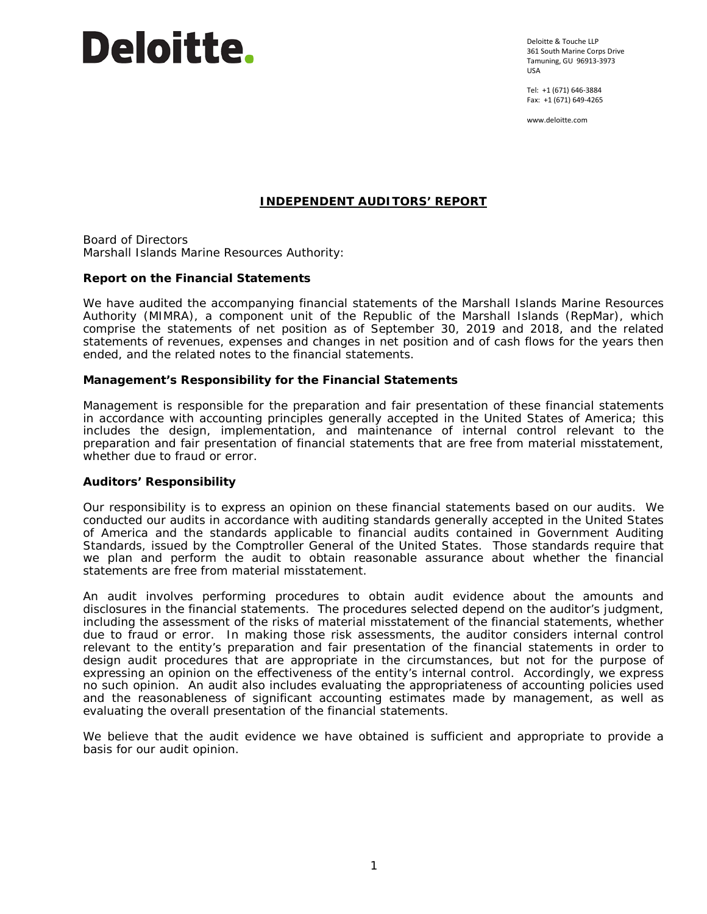# Deloitte.

Deloitte & Touche LLP 361 South Marine Corps Drive Tamuning, GU 96913-3973 USA

Tel: +1 (671) 646-3884 Fax: +1 (671) 649-4265

www.deloitte.com

# **INDEPENDENT AUDITORS' REPORT**

Board of Directors Marshall Islands Marine Resources Authority:

# **Report on the Financial Statements**

We have audited the accompanying financial statements of the Marshall Islands Marine Resources Authority (MIMRA), a component unit of the Republic of the Marshall Islands (RepMar), which comprise the statements of net position as of September 30, 2019 and 2018, and the related statements of revenues, expenses and changes in net position and of cash flows for the years then ended, and the related notes to the financial statements.

# *Management's Responsibility for the Financial Statements*

Management is responsible for the preparation and fair presentation of these financial statements in accordance with accounting principles generally accepted in the United States of America; this includes the design, implementation, and maintenance of internal control relevant to the preparation and fair presentation of financial statements that are free from material misstatement, whether due to fraud or error.

# *Auditors' Responsibility*

Our responsibility is to express an opinion on these financial statements based on our audits. We conducted our audits in accordance with auditing standards generally accepted in the United States of America and the standards applicable to financial audits contained in *Government Auditing Standards*, issued by the Comptroller General of the United States. Those standards require that we plan and perform the audit to obtain reasonable assurance about whether the financial statements are free from material misstatement.

An audit involves performing procedures to obtain audit evidence about the amounts and disclosures in the financial statements. The procedures selected depend on the auditor's judgment, including the assessment of the risks of material misstatement of the financial statements, whether due to fraud or error. In making those risk assessments, the auditor considers internal control relevant to the entity's preparation and fair presentation of the financial statements in order to design audit procedures that are appropriate in the circumstances, but not for the purpose of expressing an opinion on the effectiveness of the entity's internal control. Accordingly, we express no such opinion. An audit also includes evaluating the appropriateness of accounting policies used and the reasonableness of significant accounting estimates made by management, as well as evaluating the overall presentation of the financial statements.

We believe that the audit evidence we have obtained is sufficient and appropriate to provide a basis for our audit opinion.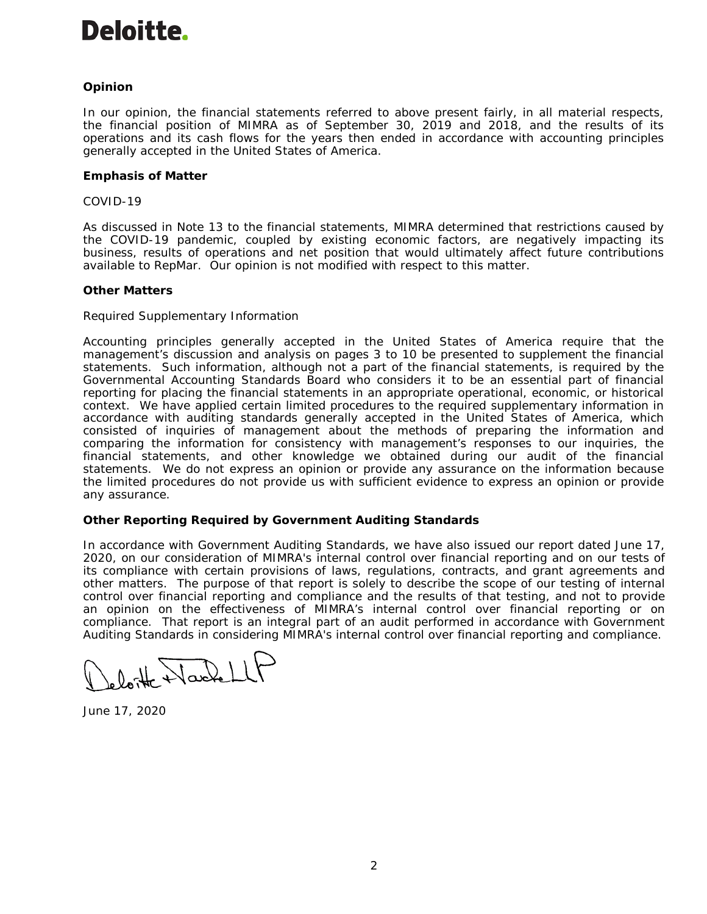# **Deloitte**

# *Opinion*

In our opinion, the financial statements referred to above present fairly, in all material respects, the financial position of MIMRA as of September 30, 2019 and 2018, and the results of its operations and its cash flows for the years then ended in accordance with accounting principles generally accepted in the United States of America.

# *Emphasis of Matter*

# *COVID-19*

As discussed in Note 13 to the financial statements, MIMRA determined that restrictions caused by the COVID-19 pandemic, coupled by existing economic factors, are negatively impacting its business, results of operations and net position that would ultimately affect future contributions available to RepMar. Our opinion is not modified with respect to this matter.

# *Other Matters*

# *Required Supplementary Information*

Accounting principles generally accepted in the United States of America require that the management's discussion and analysis on pages 3 to 10 be presented to supplement the financial statements. Such information, although not a part of the financial statements, is required by the Governmental Accounting Standards Board who considers it to be an essential part of financial reporting for placing the financial statements in an appropriate operational, economic, or historical context. We have applied certain limited procedures to the required supplementary information in accordance with auditing standards generally accepted in the United States of America, which consisted of inquiries of management about the methods of preparing the information and comparing the information for consistency with management's responses to our inquiries, the financial statements, and other knowledge we obtained during our audit of the financial statements. We do not express an opinion or provide any assurance on the information because the limited procedures do not provide us with sufficient evidence to express an opinion or provide any assurance.

# **Other Reporting Required by** *Government Auditing Standards*

In accordance with *Government Auditing Standards*, we have also issued our report dated June 17, 2020, on our consideration of MIMRA's internal control over financial reporting and on our tests of its compliance with certain provisions of laws, regulations, contracts, and grant agreements and other matters. The purpose of that report is solely to describe the scope of our testing of internal control over financial reporting and compliance and the results of that testing, and not to provide an opinion on the effectiveness of MIMRA's internal control over financial reporting or on compliance. That report is an integral part of an audit performed in accordance with *Government Auditing Standards* in considering MIMRA's internal control over financial reporting and compliance.

loite Harlett

June 17, 2020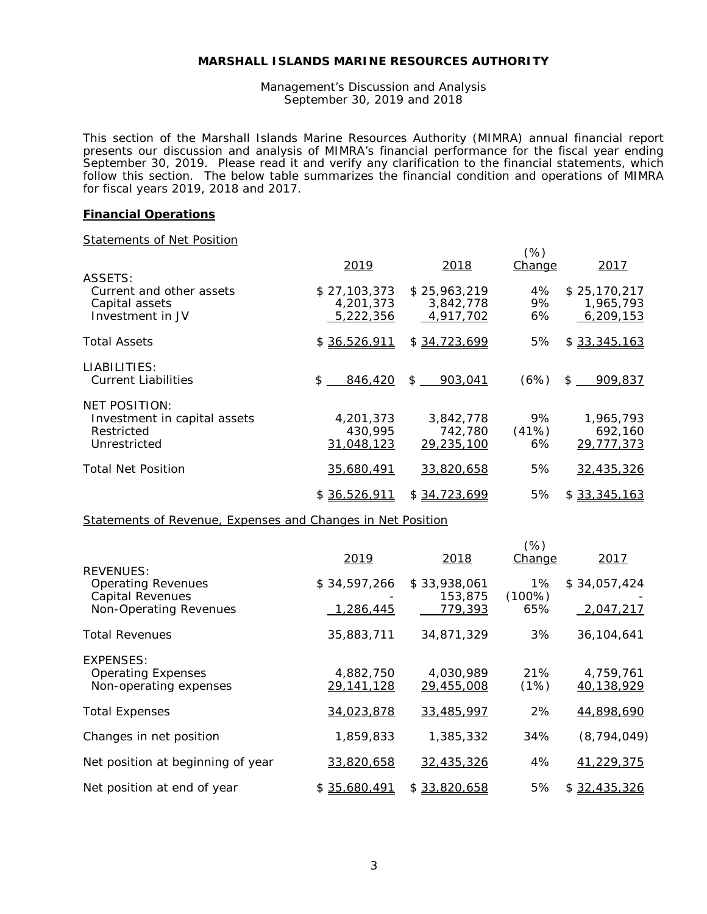Management's Discussion and Analysis September 30, 2019 and 2018

This section of the Marshall Islands Marine Resources Authority (MIMRA) annual financial report presents our discussion and analysis of MIMRA's financial performance for the fiscal year ending September 30, 2019. Please read it and verify any clarification to the financial statements, which follow this section. The below table summarizes the financial condition and operations of MIMRA for fiscal years 2019, 2018 and 2017.

 $(0/)$ 

# **Financial Operations**

#### Statements of Net Position

|                                                                                    | 2019                                   | 2018                                   | $\sqrt{2}$<br>Change | 2017                                   |
|------------------------------------------------------------------------------------|----------------------------------------|----------------------------------------|----------------------|----------------------------------------|
| ASSETS:<br>Current and other assets<br>Capital assets<br>Investment in JV          | \$27,103,373<br>4,201,373<br>5,222,356 | \$25,963,219<br>3,842,778<br>4,917,702 | 4%<br>9%<br>6%       | \$25,170,217<br>1,965,793<br>6,209,153 |
| Total Assets                                                                       | \$ 36,526,911                          | \$34,723,699                           | 5%                   | \$33,345,163                           |
| LIABILITIES:<br><b>Current Liabilities</b>                                         | $\mathfrak{L}$<br>846,420              | 903,041<br>\$                          | (6%)                 | $\mathsf S$<br>909,837                 |
| <b>NET POSITION:</b><br>Investment in capital assets<br>Restricted<br>Unrestricted | 4,201,373<br>430,995<br>31,048,123     | 3,842,778<br>742,780<br>29,235,100     | 9%<br>(41%)<br>6%    | 1,965,793<br>692,160<br>29,777,373     |
| <b>Total Net Position</b>                                                          | 35,680,491                             | 33,820,658                             | 5%                   | 32,435,326                             |
|                                                                                    | \$36,526,911                           | \$34,723,699                           | 5%                   | \$33,345,163                           |

# Statements of Revenue, Expenses and Changes in Net Position

|                                                                  |                           |                         | (%)              |                         |
|------------------------------------------------------------------|---------------------------|-------------------------|------------------|-------------------------|
| <b>REVENUES:</b>                                                 | 2019                      | 2018                    | Change           | 2017                    |
| <b>Operating Revenues</b>                                        | \$34,597,266              | \$33,938,061            | 1%               | \$34,057,424            |
| <b>Capital Revenues</b><br><b>Non-Operating Revenues</b>         | 1,286,445                 | 153,875<br>779,393      | $(100\%)$<br>65% | 2,047,217               |
| <b>Total Revenues</b>                                            | 35,883,711                | 34,871,329              | 3%               | 36,104,641              |
| EXPENSES:<br><b>Operating Expenses</b><br>Non-operating expenses | 4,882,750<br>29, 141, 128 | 4,030,989<br>29,455,008 | 21%<br>(1%)      | 4,759,761<br>40,138,929 |
| <b>Total Expenses</b>                                            | 34,023,878                | 33,485,997              | 2%               | 44,898,690              |
| Changes in net position                                          | 1,859,833                 | 1,385,332               | 34%              | (8, 794, 049)           |
| Net position at beginning of year                                | 33,820,658                | 32,435,326              | 4%               | 41,229,375              |
| Net position at end of year                                      | \$35,680,491              | \$33,820,658            | 5%               | \$32,435,326            |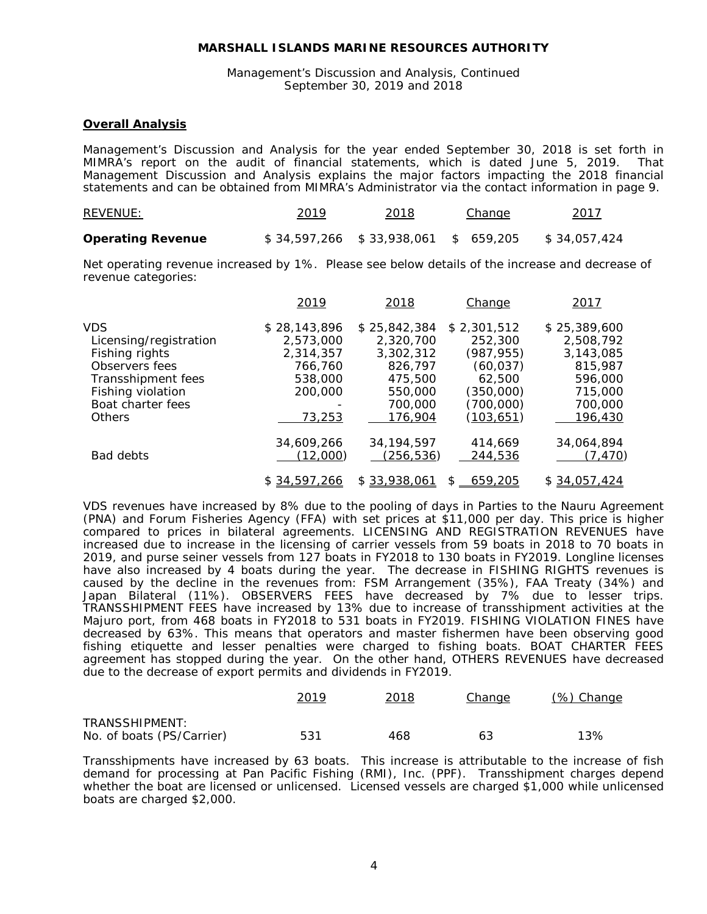Management's Discussion and Analysis, Continued September 30, 2019 and 2018

# **Overall Analysis**

Management's Discussion and Analysis for the year ended September 30, 2018 is set forth in MIMRA's report on the audit of financial statements, which is dated June 5, 2019. That Management Discussion and Analysis explains the major factors impacting the 2018 financial statements and can be obtained from MIMRA's Administrator via the contact information in page 9.

| <b>REVENUE:</b>          | <u> 2019</u> | 2018                                   | <b>Change</b> | <u> 2017</u> |
|--------------------------|--------------|----------------------------------------|---------------|--------------|
| <b>Operating Revenue</b> |              | $$34,597,266$ $$33,938,061$ $$659,205$ |               | \$34,057,424 |

Net operating revenue increased by 1%. Please see below details of the increase and decrease of revenue categories:

|                                                                                                                                             | 2019                                                                              | 2018                                                                                          | Change                                                                                                   | 2017                                                                                          |
|---------------------------------------------------------------------------------------------------------------------------------------------|-----------------------------------------------------------------------------------|-----------------------------------------------------------------------------------------------|----------------------------------------------------------------------------------------------------------|-----------------------------------------------------------------------------------------------|
| VDS<br>Licensing/registration<br>Fishing rights<br>Observers fees<br>Transshipment fees<br>Fishing violation<br>Boat charter fees<br>Others | \$28,143,896<br>2,573,000<br>2,314,357<br>766,760<br>538,000<br>200,000<br>73,253 | \$25,842,384<br>2,320,700<br>3,302,312<br>826,797<br>475,500<br>550,000<br>700,000<br>176,904 | \$2,301,512<br>252,300<br>(987,955)<br>(60, 037)<br>62,500<br>(350,000)<br>(700,000)<br><u>(103,651)</u> | \$25,389,600<br>2,508,792<br>3,143,085<br>815,987<br>596,000<br>715,000<br>700,000<br>196,430 |
| Bad debts                                                                                                                                   | 34,609,266<br>(12,000)<br>\$ 34,597,266                                           | 34, 194, 597<br>(256,536)<br>\$33,938,061                                                     | 414.669<br>244,536<br>659,205<br>S.                                                                      | 34,064,894<br>(7, 470)<br>\$34,057,424                                                        |

VDS revenues have increased by 8% due to the pooling of days in Parties to the Nauru Agreement (PNA) and Forum Fisheries Agency (FFA) with set prices at \$11,000 per day. This price is higher compared to prices in bilateral agreements. LICENSING AND REGISTRATION REVENUES have increased due to increase in the licensing of carrier vessels from 59 boats in 2018 to 70 boats in 2019, and purse seiner vessels from 127 boats in FY2018 to 130 boats in FY2019. Longline licenses have also increased by 4 boats during the year. The decrease in FISHING RIGHTS revenues is caused by the decline in the revenues from: FSM Arrangement (35%), FAA Treaty (34%) and Japan Bilateral (11%). OBSERVERS FEES have decreased by 7% due to lesser trips. TRANSSHIPMENT FEES have increased by 13% due to increase of transshipment activities at the Majuro port, from 468 boats in FY2018 to 531 boats in FY2019. FISHING VIOLATION FINES have decreased by 63%. This means that operators and master fishermen have been observing good fishing etiquette and lesser penalties were charged to fishing boats. BOAT CHARTER FEES agreement has stopped during the year. On the other hand, OTHERS REVENUES have decreased due to the decrease of export permits and dividends in FY2019.

|                           | 2019 | <u> 2018 </u> | Change | (%) Change |
|---------------------------|------|---------------|--------|------------|
| TRANSSHIPMENT:            |      |               |        |            |
| No. of boats (PS/Carrier) | 531  | 468           | 63     | 13%        |

Transshipments have increased by 63 boats. This increase is attributable to the increase of fish demand for processing at Pan Pacific Fishing (RMI), Inc. (PPF). Transshipment charges depend whether the boat are licensed or unlicensed. Licensed vessels are charged \$1,000 while unlicensed boats are charged \$2,000.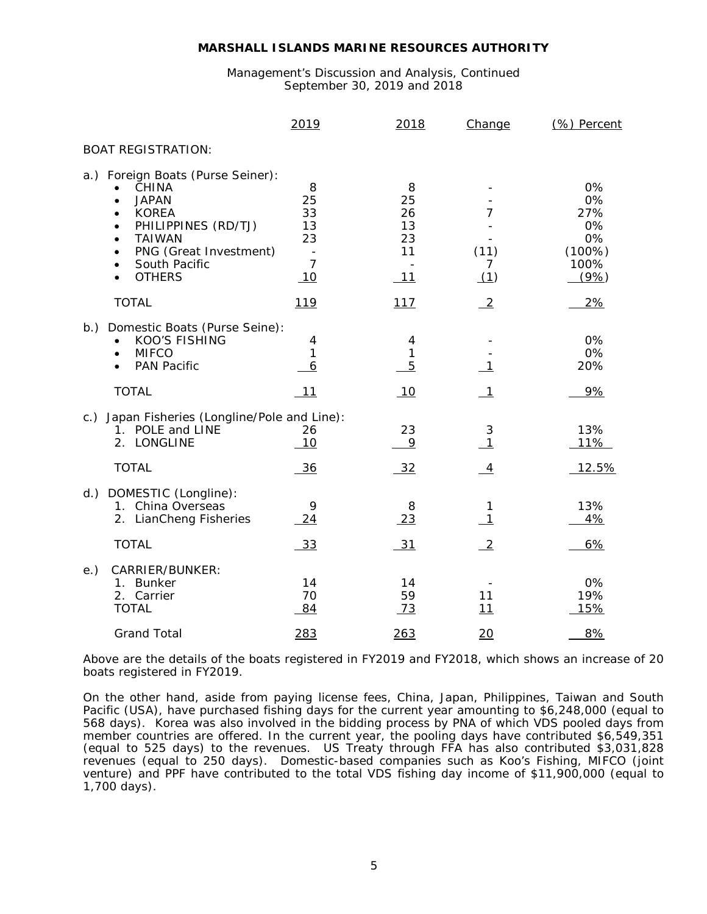# Management's Discussion and Analysis, Continued September 30, 2019 and 2018

|        |                                                                                                                                                                                                                                                                                               | 2019                                                                | 2018                                  | Change                               | (%) Percent                                           |
|--------|-----------------------------------------------------------------------------------------------------------------------------------------------------------------------------------------------------------------------------------------------------------------------------------------------|---------------------------------------------------------------------|---------------------------------------|--------------------------------------|-------------------------------------------------------|
|        | <b>BOAT REGISTRATION:</b>                                                                                                                                                                                                                                                                     |                                                                     |                                       |                                      |                                                       |
|        | a.) Foreign Boats (Purse Seiner):<br><b>CHINA</b><br>$\bullet$<br><b>JAPAN</b><br>$\bullet$<br><b>KOREA</b><br>$\bullet$<br>PHILIPPINES (RD/TJ)<br>$\bullet$<br><b>TAIWAN</b><br>$\bullet$<br>PNG (Great Investment)<br>$\bullet$<br>South Pacific<br>$\bullet$<br><b>OTHERS</b><br>$\bullet$ | 8<br>25<br>33<br>13<br>23<br>$\blacksquare$<br>$\overline{7}$<br>10 | 8<br>25<br>26<br>13<br>23<br>11<br>11 | 7<br>(11)<br>7<br>(1)                | 0%<br>0%<br>27%<br>0%<br>0%<br>(100%)<br>100%<br>(9%) |
|        | <b>TOTAL</b>                                                                                                                                                                                                                                                                                  | <u>119</u>                                                          | 117                                   | $\overline{2}$                       | 2%                                                    |
| $b.$ ) | Domestic Boats (Purse Seine):<br><b>KOO'S FISHING</b><br>$\bullet$<br><b>MIFCO</b><br>$\bullet$<br><b>PAN Pacific</b><br>$\bullet$                                                                                                                                                            | 4<br>1<br>6                                                         | 4<br>1<br>5                           | $\overline{1}$                       | 0%<br>0%<br>20%                                       |
|        | <b>TOTAL</b>                                                                                                                                                                                                                                                                                  | 11                                                                  | 10                                    | $\overline{1}$                       | 9%                                                    |
|        | c.) Japan Fisheries (Longline/Pole and Line):<br>1. POLE and LINE<br>2. LONGLINE                                                                                                                                                                                                              | 26<br>10                                                            | 23<br>9                               | 3<br>$\overline{1}$                  | 13%<br>11%                                            |
|        | <b>TOTAL</b>                                                                                                                                                                                                                                                                                  | $-36$                                                               | 32                                    | $\overline{4}$                       | 12.5%                                                 |
|        | d.) DOMESTIC (Longline):<br>1. China Overseas<br>2. LianCheng Fisheries                                                                                                                                                                                                                       | 9<br>24                                                             | 8<br>23                               | 1<br>$\overline{1}$                  | 13%<br>4%                                             |
|        | <b>TOTAL</b>                                                                                                                                                                                                                                                                                  | 33                                                                  | 31                                    | $\overline{-2}$                      | 6%                                                    |
| e.)    | CARRIER/BUNKER:<br>1. Bunker<br>2. Carrier<br><b>TOTAL</b>                                                                                                                                                                                                                                    | 14<br>70<br>84                                                      | 14<br>59<br>73                        | $\overline{\phantom{a}}$<br>11<br>11 | 0%<br>19%<br>15%                                      |
|        | <b>Grand Total</b>                                                                                                                                                                                                                                                                            | 283                                                                 | 263                                   | 20                                   | 8%                                                    |

Above are the details of the boats registered in FY2019 and FY2018, which shows an increase of 20 boats registered in FY2019.

On the other hand, aside from paying license fees, China, Japan, Philippines, Taiwan and South Pacific (USA), have purchased fishing days for the current year amounting to \$6,248,000 (equal to 568 days). Korea was also involved in the bidding process by PNA of which VDS pooled days from member countries are offered. In the current year, the pooling days have contributed \$6,549,351 (equal to 525 days) to the revenues. US Treaty through FFA has also contributed \$3,031,828 revenues (equal to 250 days). Domestic-based companies such as Koo's Fishing, MIFCO (joint venture) and PPF have contributed to the total VDS fishing day income of \$11,900,000 (equal to 1,700 days).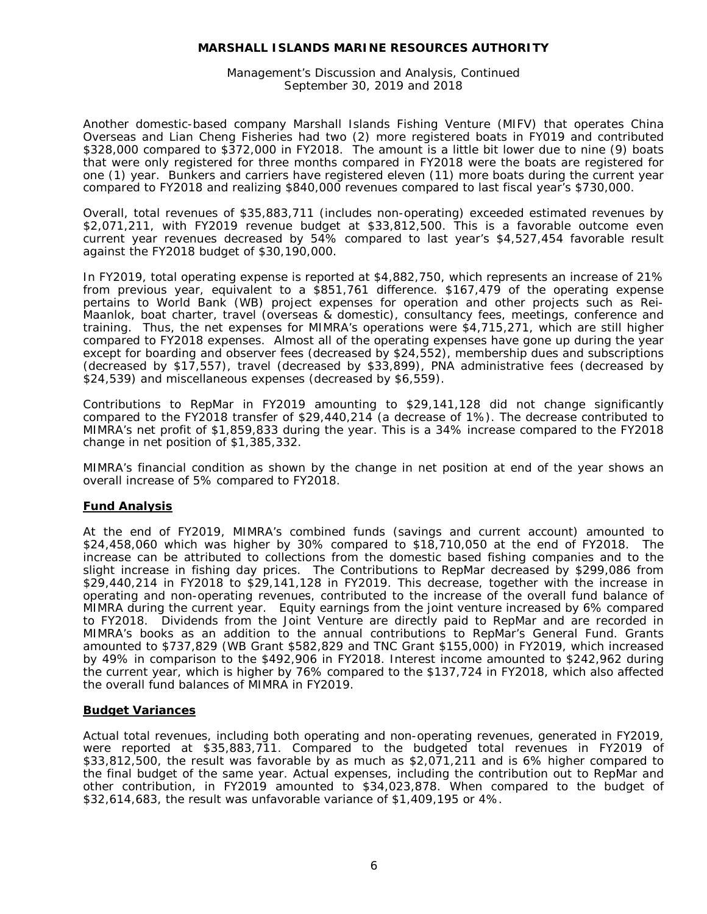Management's Discussion and Analysis, Continued September 30, 2019 and 2018

Another domestic-based company Marshall Islands Fishing Venture (MIFV) that operates China Overseas and Lian Cheng Fisheries had two (2) more registered boats in FY019 and contributed \$328,000 compared to \$372,000 in FY2018. The amount is a little bit lower due to nine (9) boats that were only registered for three months compared in FY2018 were the boats are registered for one (1) year. Bunkers and carriers have registered eleven (11) more boats during the current year compared to FY2018 and realizing \$840,000 revenues compared to last fiscal year's \$730,000.

Overall, total revenues of \$35,883,711 (includes non-operating) exceeded estimated revenues by \$2,071,211, with FY2019 revenue budget at \$33,812,500. This is a favorable outcome even current year revenues decreased by 54% compared to last year's \$4,527,454 favorable result against the FY2018 budget of \$30,190,000.

In FY2019, total operating expense is reported at \$4,882,750, which represents an increase of 21% from previous year, equivalent to a \$851,761 difference. \$167,479 of the operating expense pertains to World Bank (WB) project expenses for operation and other projects such as Rei-Maanlok, boat charter, travel (overseas & domestic), consultancy fees, meetings, conference and training. Thus, the net expenses for MIMRA's operations were \$4,715,271, which are still higher compared to FY2018 expenses. Almost all of the operating expenses have gone up during the year except for boarding and observer fees (decreased by \$24,552), membership dues and subscriptions (decreased by \$17,557), travel (decreased by \$33,899), PNA administrative fees (decreased by \$24,539) and miscellaneous expenses (decreased by \$6,559).

Contributions to RepMar in FY2019 amounting to \$29,141,128 did not change significantly compared to the FY2018 transfer of \$29,440,214 (a decrease of 1%). The decrease contributed to MIMRA's net profit of \$1,859,833 during the year. This is a 34% increase compared to the FY2018 change in net position of \$1,385,332.

MIMRA's financial condition as shown by the change in net position at end of the year shows an overall increase of 5% compared to FY2018.

# **Fund Analysis**

At the end of FY2019, MIMRA's combined funds (savings and current account) amounted to \$24,458,060 which was higher by 30% compared to \$18,710,050 at the end of FY2018. The increase can be attributed to collections from the domestic based fishing companies and to the slight increase in fishing day prices. The Contributions to RepMar decreased by \$299,086 from \$29,440,214 in FY2018 to \$29,141,128 in FY2019. This decrease, together with the increase in operating and non-operating revenues, contributed to the increase of the overall fund balance of MIMRA during the current year. Equity earnings from the joint venture increased by 6% compared to FY2018. Dividends from the Joint Venture are directly paid to RepMar and are recorded in MIMRA's books as an addition to the annual contributions to RepMar's General Fund. Grants amounted to \$737,829 (WB Grant \$582,829 and TNC Grant \$155,000) in FY2019, which increased by 49% in comparison to the \$492,906 in FY2018. Interest income amounted to \$242,962 during the current year, which is higher by 76% compared to the \$137,724 in FY2018, which also affected the overall fund balances of MIMRA in FY2019.

# **Budget Variances**

Actual total revenues, including both operating and non-operating revenues, generated in FY2019, were reported at \$35,883,711. Compared to the budgeted total revenues in FY2019 of \$33,812,500, the result was favorable by as much as \$2,071,211 and is 6% higher compared to the final budget of the same year. Actual expenses, including the contribution out to RepMar and other contribution, in FY2019 amounted to \$34,023,878. When compared to the budget of \$32,614,683, the result was unfavorable variance of \$1,409,195 or 4%.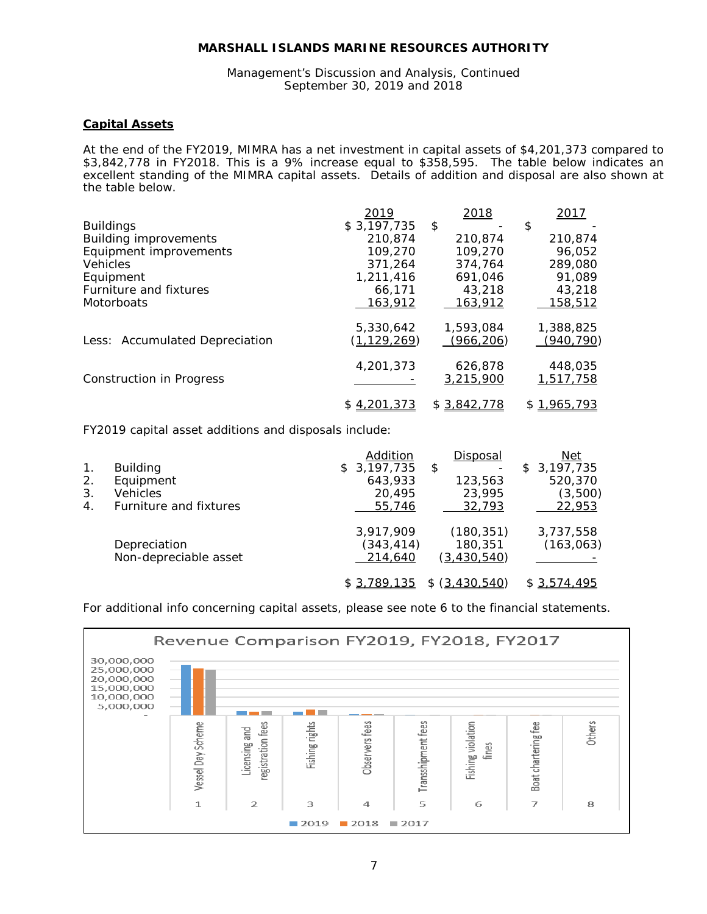# Management's Discussion and Analysis, Continued September 30, 2019 and 2018

# **Capital Assets**

At the end of the FY2019, MIMRA has a net investment in capital assets of \$4,201,373 compared to \$3,842,778 in FY2018. This is a 9% increase equal to \$358,595. The table below indicates an excellent standing of the MIMRA capital assets. Details of addition and disposal are also shown at the table below.

|                                 | 2019          | 2018        | 2017        |
|---------------------------------|---------------|-------------|-------------|
| <b>Buildings</b>                | \$3,197,735   | \$          | \$          |
| <b>Building improvements</b>    | 210.874       | 210.874     | 210,874     |
| Equipment improvements          | 109,270       | 109,270     | 96,052      |
| <b>Vehicles</b>                 | 371.264       | 374,764     | 289,080     |
| Equipment                       | 1,211,416     | 691,046     | 91,089      |
| Furniture and fixtures          | 66.171        | 43.218      | 43,218      |
| <b>Motorboats</b>               | 163,912       | 163,912     | 158,512     |
|                                 |               |             |             |
|                                 | 5.330.642     | 1,593,084   | 1,388,825   |
| Less: Accumulated Depreciation  | (1, 129, 269) | (966, 206)  | (940, 790)  |
|                                 |               |             |             |
|                                 | 4,201,373     | 626,878     | 448,035     |
| <b>Construction in Progress</b> |               | 3,215,900   | 1,517,758   |
|                                 | \$4,201,373   | \$3,842,778 | \$1,965,793 |
|                                 |               |             |             |

FY2019 capital asset additions and disposals include:

|                |                        | Addition    | Disposal       | Net             |
|----------------|------------------------|-------------|----------------|-----------------|
| $\mathbf{1}$ . | <b>Building</b>        | \$3,197,735 | \$             | 3,197,735<br>\$ |
| 2.             | Equipment              | 643,933     | 123,563        | 520,370         |
| 3.             | <b>Vehicles</b>        | 20,495      | 23,995         | (3,500)         |
| 4.             | Furniture and fixtures | 55,746      | 32,793         | 22,953          |
|                |                        | 3,917,909   | (180, 351)     | 3,737,558       |
|                | Depreciation           | (343, 414)  | 180,351        | (163, 063)      |
|                | Non-depreciable asset  | 214,640     | (3,430,540)    |                 |
|                |                        | \$3,789,135 | \$ (3,430,540) | \$ 3,574,495    |

For additional info concerning capital assets, please see note 6 to the financial statements.

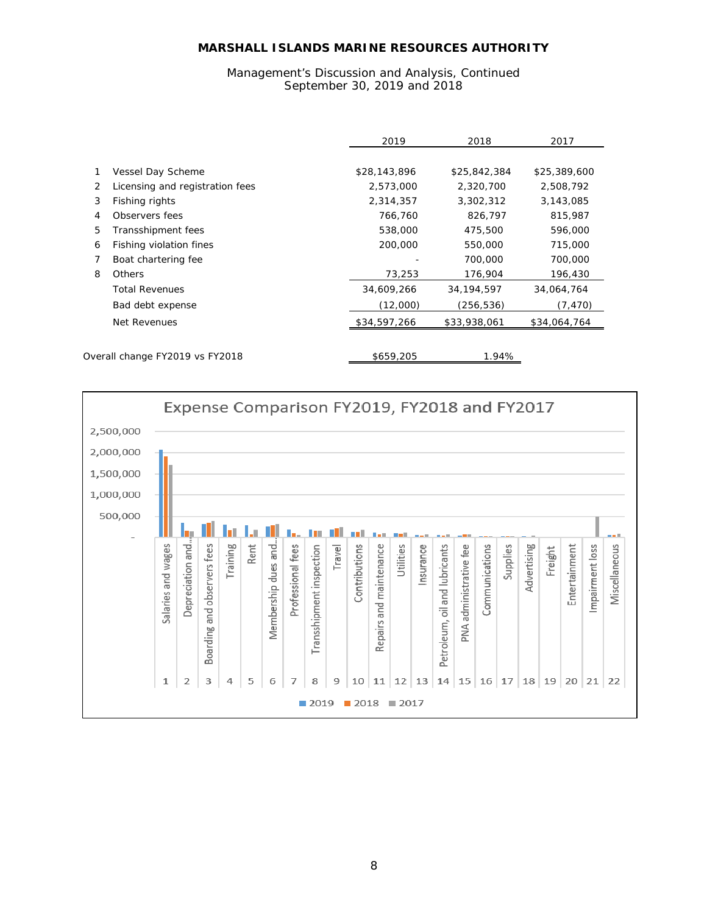# Management's Discussion and Analysis, Continued September 30, 2019 and 2018

|   |                                 | 2019         | 2018         | 2017         |
|---|---------------------------------|--------------|--------------|--------------|
|   |                                 |              |              |              |
|   | Vessel Day Scheme               | \$28,143,896 | \$25,842,384 | \$25,389,600 |
| 2 | Licensing and registration fees | 2,573,000    | 2,320,700    | 2,508,792    |
| 3 | Fishing rights                  | 2,314,357    | 3,302,312    | 3,143,085    |
| 4 | Observers fees                  | 766,760      | 826,797      | 815,987      |
| 5 | Transshipment fees              | 538,000      | 475,500      | 596,000      |
| 6 | Fishing violation fines         | 200,000      | 550,000      | 715,000      |
| 7 | Boat chartering fee             |              | 700,000      | 700,000      |
| 8 | Others                          | 73,253       | 176,904      | 196,430      |
|   | <b>Total Revenues</b>           | 34,609,266   | 34, 194, 597 | 34,064,764   |
|   | Bad debt expense                | (12,000)     | (256,536)    | (7, 470)     |
|   | Net Revenues                    | \$34,597,266 | \$33,938,061 | \$34,064,764 |
|   | Overall change FY2019 vs FY2018 | \$659,205    | 1.94%        |              |

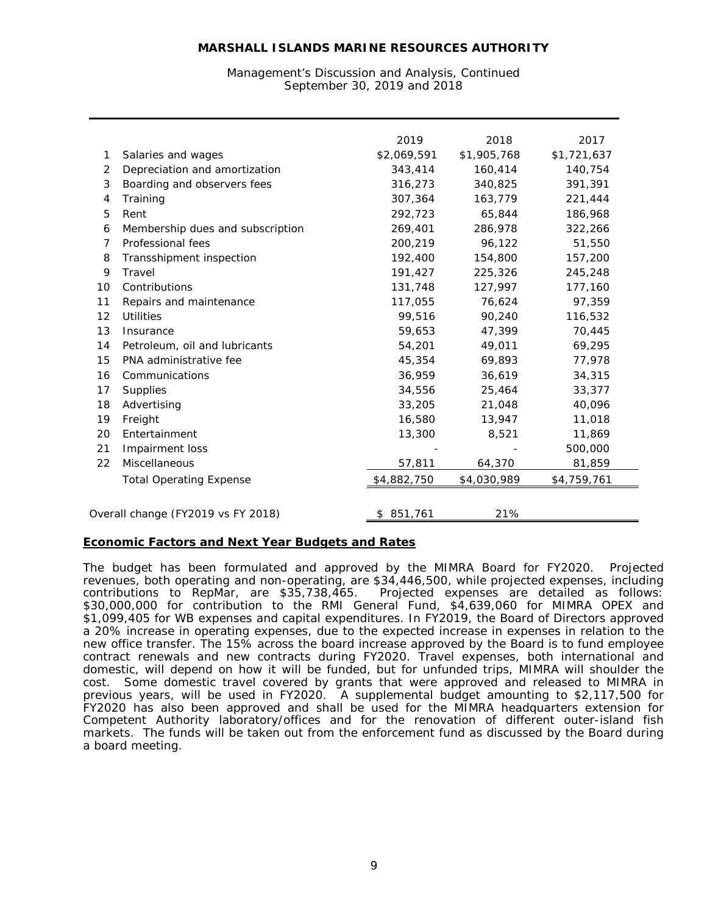# Management's Discussion and Analysis, Continued September 30, 2019 and 2018

|                |                                    | 2019        | 2018        | 2017        |
|----------------|------------------------------------|-------------|-------------|-------------|
| 1              | Salaries and wages                 | \$2,069,591 | \$1,905,768 | \$1,721,637 |
| 2              | Depreciation and amortization      | 343,414     | 160,414     | 140,754     |
| 3              | Boarding and observers fees        | 316,273     | 340,825     | 391,391     |
| 4              | Training                           | 307,364     | 163,779     | 221,444     |
| 5              | Rent                               | 292,723     | 65,844      | 186,968     |
| 6              | Membership dues and subscription   | 269,401     | 286,978     | 322,266     |
| $\overline{7}$ | Professional fees                  | 200,219     | 96,122      | 51,550      |
| 8              | Transshipment inspection           | 192,400     | 154,800     | 157,200     |
| 9              | Travel                             | 191,427     | 225,326     | 245,248     |
| 10             | Contributions                      | 131,748     | 127,997     | 177,160     |
| 11             | Repairs and maintenance            | 117,055     | 76,624      | 97,359      |
| 12             | <b>Utilities</b>                   | 99,516      | 90,240      | 116,532     |
| 13             | Insurance                          | 59,653      | 47,399      | 70,445      |
| 14             | Petroleum, oil and lubricants      | 54,201      | 49,011      | 69,295      |
| 15             | PNA administrative fee             | 45,354      | 69,893      | 77,978      |
| 16             | Communications                     | 36,959      | 36,619      | 34,315      |
| 17             | <b>Supplies</b>                    | 34,556      | 25,464      | 33,377      |
| 18             | Advertising                        | 33,205      | 21,048      | 40,096      |
| 19             | Freight                            | 16,580      | 13,947      | 11,018      |
| 20             | Entertainment                      | 13,300      | 8,521       | 11,869      |
| 21             | Impairment loss                    |             |             | 500,000     |
| 22             | Miscellaneous                      | 57,811      | 64,370      | 81,859      |
|                | <b>Total Operating Expense</b>     | \$4,882,750 | \$4,030,989 | \$4,759,761 |
|                |                                    |             |             |             |
|                | Overall change (FY2019 vs FY 2018) | \$851,761   | 21%         |             |

# **Economic Factors and Next Year Budgets and Rates**

The budget has been formulated and approved by the MIMRA Board for FY2020. Projected revenues, both operating and non-operating, are \$34,446,500, while projected expenses, including Projected expenses are detailed as follows: \$30,000,000 for contribution to the RMI General Fund, \$4,639,060 for MIMRA OPEX and \$1,099,405 for WB expenses and capital expenditures. In FY2019, the Board of Directors approved a 20% increase in operating expenses, due to the expected increase in expenses in relation to the new office transfer. The 15% across the board increase approved by the Board is to fund employee contract renewals and new contracts during FY2020. Travel expenses, both international and domestic, will depend on how it will be funded, but for unfunded trips, MIMRA will shoulder the cost. Some domestic travel covered by grants that were approved and released to MIMRA in previous years, will be used in FY2020. A supplemental budget amounting to \$2,117,500 for FY2020 has also been approved and shall be used for the MIMRA headquarters extension for Competent Authority laboratory/offices and for the renovation of different outer-island fish markets. The funds will be taken out from the enforcement fund as discussed by the Board during a board meeting.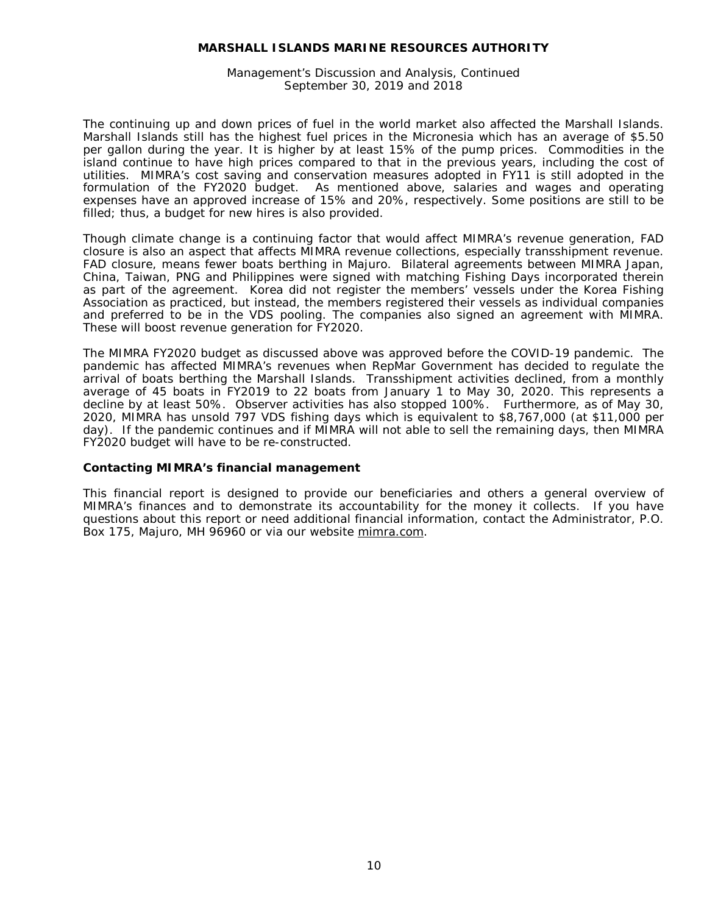Management's Discussion and Analysis, Continued September 30, 2019 and 2018

The continuing up and down prices of fuel in the world market also affected the Marshall Islands. Marshall Islands still has the highest fuel prices in the Micronesia which has an average of \$5.50 per gallon during the year. It is higher by at least 15% of the pump prices. Commodities in the island continue to have high prices compared to that in the previous years, including the cost of utilities. MIMRA's cost saving and conservation measures adopted in FY11 is still adopted in the formulation of the FY2020 budget. As mentioned above, salaries and wages and operating expenses have an approved increase of 15% and 20%, respectively. Some positions are still to be filled; thus, a budget for new hires is also provided.

Though climate change is a continuing factor that would affect MIMRA's revenue generation, FAD closure is also an aspect that affects MIMRA revenue collections, especially transshipment revenue. FAD closure, means fewer boats berthing in Majuro. Bilateral agreements between MIMRA Japan, China, Taiwan, PNG and Philippines were signed with matching Fishing Days incorporated therein as part of the agreement. Korea did not register the members' vessels under the Korea Fishing Association as practiced, but instead, the members registered their vessels as individual companies and preferred to be in the VDS pooling. The companies also signed an agreement with MIMRA. These will boost revenue generation for FY2020.

The MIMRA FY2020 budget as discussed above was approved before the COVID-19 pandemic. The pandemic has affected MIMRA's revenues when RepMar Government has decided to regulate the arrival of boats berthing the Marshall Islands. Transshipment activities declined, from a monthly average of 45 boats in FY2019 to 22 boats from January 1 to May 30, 2020. This represents a decline by at least 50%. Observer activities has also stopped 100%. Furthermore, as of May 30, 2020, MIMRA has unsold 797 VDS fishing days which is equivalent to \$8,767,000 (at \$11,000 per day). If the pandemic continues and if MIMRA will not able to sell the remaining days, then MIMRA FY2020 budget will have to be re-constructed.

#### **Contacting MIMRA's financial management**

This financial report is designed to provide our beneficiaries and others a general overview of MIMRA's finances and to demonstrate its accountability for the money it collects. If you have questions about this report or need additional financial information, contact the Administrator, P.O. Box 175, Majuro, MH 96960 or via our website [mimra.com.](mailto:mimra.@ntamar.net)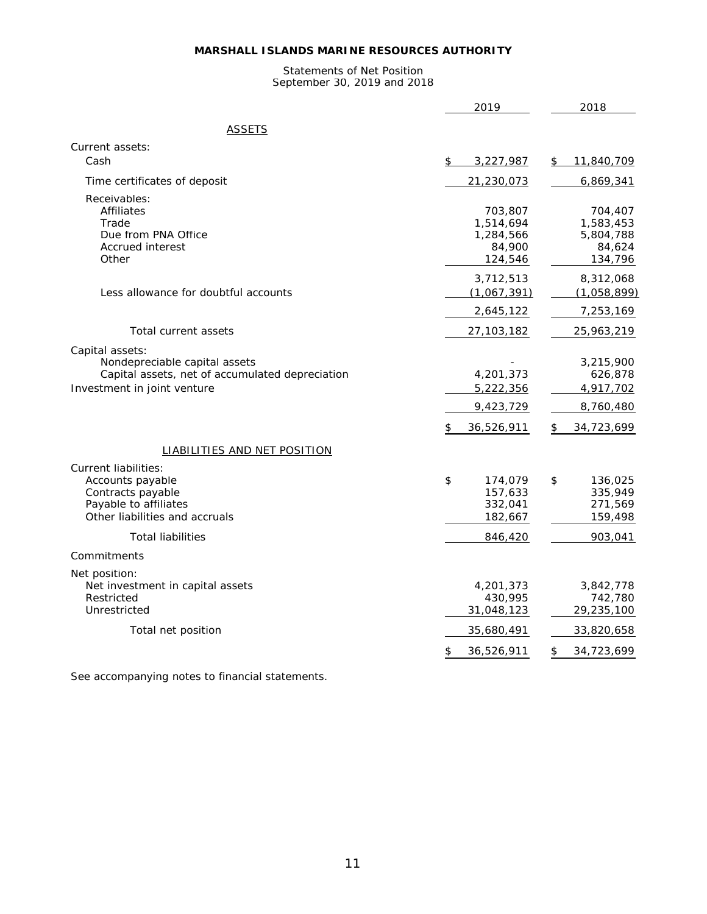#### Statements of Net Position September 30, 2019 and 2018

|                                                                                                                                    | 2019                                                    | 2018                                                               |
|------------------------------------------------------------------------------------------------------------------------------------|---------------------------------------------------------|--------------------------------------------------------------------|
| <b>ASSETS</b>                                                                                                                      |                                                         |                                                                    |
| Current assets:                                                                                                                    |                                                         |                                                                    |
| Cash                                                                                                                               | 3,227,987<br>\$                                         | 11,840,709<br>\$                                                   |
| Time certificates of deposit                                                                                                       | 21,230,073                                              | 6,869,341                                                          |
| Receivables:<br>Affiliates<br>Trade<br>Due from PNA Office<br>Accrued interest<br>Other                                            | 703,807<br>1,514,694<br>1,284,566<br>84,900<br>124,546  | 704,407<br>1,583,453<br>5,804,788<br>84,624<br>134,796             |
| Less allowance for doubtful accounts                                                                                               | 3,712,513<br>(1,067,391)                                | 8,312,068<br>(1,058,899)                                           |
|                                                                                                                                    | 2,645,122                                               | 7,253,169                                                          |
| Total current assets                                                                                                               | 27, 103, 182                                            | 25,963,219                                                         |
| Capital assets:<br>Nondepreciable capital assets<br>Capital assets, net of accumulated depreciation<br>Investment in joint venture | 4,201,373<br>5,222,356<br>9,423,729<br>36,526,911<br>\$ | 3,215,900<br>626,878<br>4,917,702<br>8,760,480<br>34,723,699<br>\$ |
| <b>LIABILITIES AND NET POSITION</b>                                                                                                |                                                         |                                                                    |
| Current liabilities:<br>Accounts payable<br>Contracts payable<br>Payable to affiliates<br>Other liabilities and accruals           | \$<br>174,079<br>157,633<br>332,041<br>182,667          | \$<br>136,025<br>335,949<br>271,569<br>159,498                     |
| <b>Total liabilities</b>                                                                                                           | 846,420                                                 | 903,041                                                            |
| Commitments                                                                                                                        |                                                         |                                                                    |
| Net position:<br>Net investment in capital assets<br>Restricted<br>Unrestricted                                                    | 4,201,373<br>430,995<br>31,048,123                      | 3,842,778<br>742,780<br>29,235,100                                 |
| Total net position                                                                                                                 | 35,680,491                                              | 33,820,658                                                         |
|                                                                                                                                    | 36,526,911<br>\$                                        | \$<br>34,723,699                                                   |

See accompanying notes to financial statements.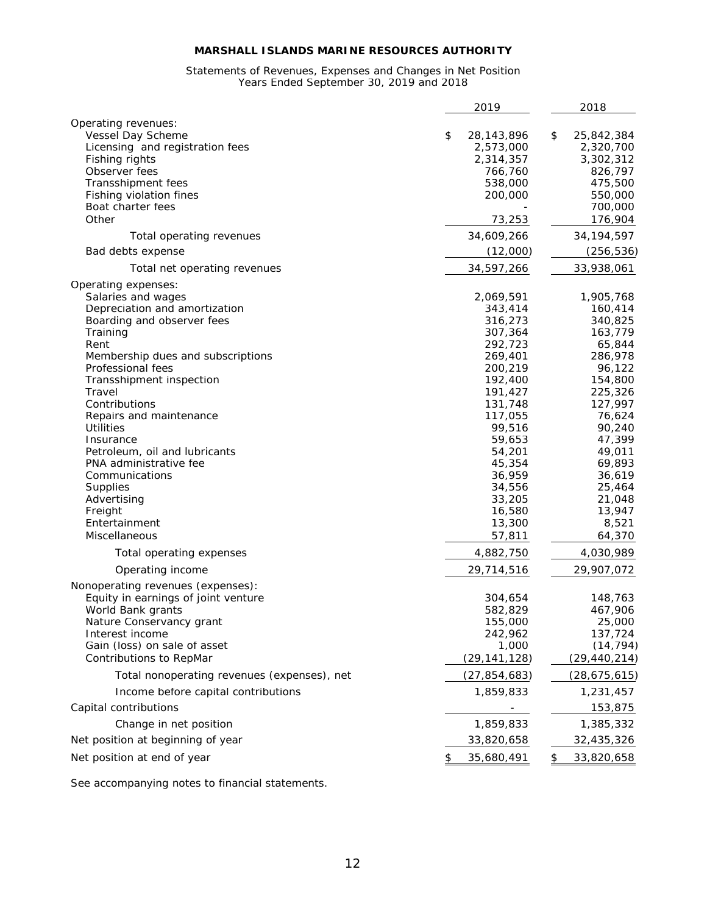#### Statements of Revenues, Expenses and Changes in Net Position Years Ended September 30, 2019 and 2018

|                                             | 2019               | 2018              |
|---------------------------------------------|--------------------|-------------------|
| Operating revenues:                         |                    |                   |
| Vessel Day Scheme                           | \$<br>28,143,896   | \$<br>25,842,384  |
| Licensing and registration fees             | 2,573,000          | 2,320,700         |
| Fishing rights                              | 2,314,357          | 3,302,312         |
| Observer fees                               | 766,760            | 826,797           |
| Transshipment fees                          | 538,000            | 475,500           |
| Fishing violation fines                     | 200,000            | 550,000           |
| Boat charter fees<br>Other                  |                    | 700,000           |
|                                             | 73,253             | 176,904           |
| Total operating revenues                    | 34,609,266         | 34, 194, 597      |
| Bad debts expense                           | (12,000)           | (256, 536)        |
| Total net operating revenues                | 34,597,266         | 33,938,061        |
| Operating expenses:                         |                    |                   |
| Salaries and wages                          | 2,069,591          | 1,905,768         |
| Depreciation and amortization               | 343,414            | 160,414           |
| Boarding and observer fees                  | 316,273            | 340,825           |
| Training<br>Rent                            | 307,364            | 163,779           |
| Membership dues and subscriptions           | 292,723<br>269,401 | 65,844<br>286,978 |
| Professional fees                           | 200,219            | 96,122            |
| Transshipment inspection                    | 192,400            | 154,800           |
| Travel                                      | 191,427            | 225,326           |
| Contributions                               | 131,748            | 127,997           |
| Repairs and maintenance                     | 117,055            | 76,624            |
| <b>Utilities</b>                            | 99,516             | 90,240            |
| Insurance                                   | 59,653             | 47,399            |
| Petroleum, oil and lubricants               | 54,201             | 49,011            |
| PNA administrative fee                      | 45,354             | 69,893            |
| Communications                              | 36,959             | 36,619            |
| Supplies                                    | 34,556             | 25,464            |
| Advertising                                 | 33,205             | 21,048            |
| Freight                                     | 16,580             | 13,947            |
| Entertainment                               | 13,300             | 8,521             |
| Miscellaneous                               | 57,811             | 64,370            |
| Total operating expenses                    | 4,882,750          | 4,030,989         |
| Operating income                            | 29,714,516         | 29,907,072        |
| Nonoperating revenues (expenses):           |                    |                   |
| Equity in earnings of joint venture         | 304,654            | 148,763           |
| World Bank grants                           | 582,829            | 467,906           |
| Nature Conservancy grant                    | 155,000            | 25,000            |
| Interest income                             | 242,962            | 137,724           |
| Gain (loss) on sale of asset                | 1,000              | (14, 794)         |
| Contributions to RepMar                     | (29,141,128)       | (29, 440, 214)    |
| Total nonoperating revenues (expenses), net | (27, 854, 683)     | (28, 675, 615)    |
| Income before capital contributions         | 1,859,833          | 1,231,457         |
| Capital contributions                       |                    | 153,875           |
| Change in net position                      | 1,859,833          | 1,385,332         |
| Net position at beginning of year           | 33,820,658         | 32,435,326        |
| Net position at end of year                 | \$<br>35,680,491   | \$<br>33,820,658  |

See accompanying notes to financial statements.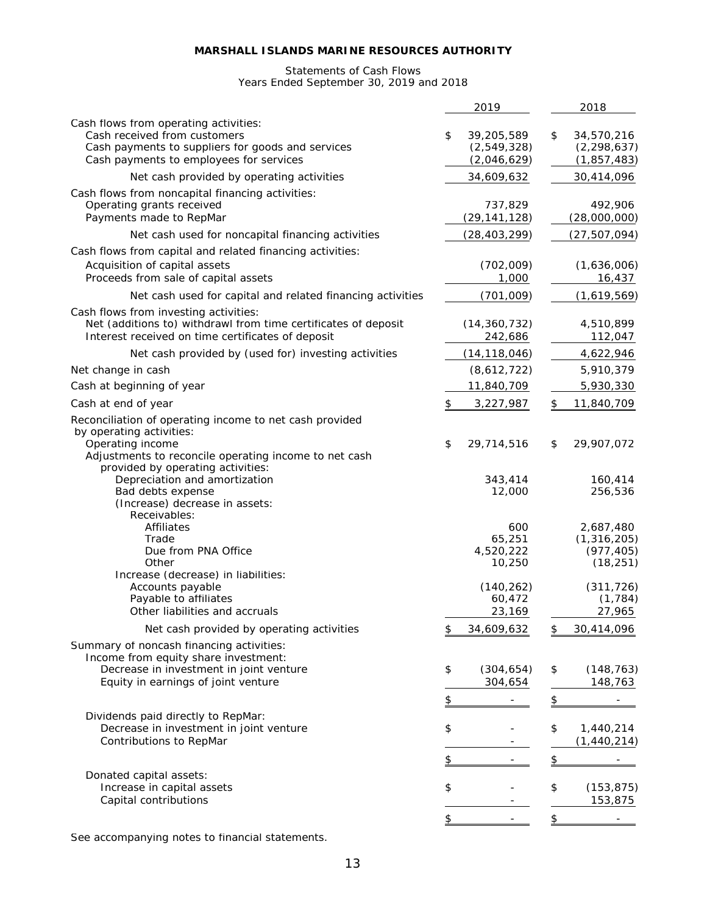#### Statements of Cash Flows Years Ended September 30, 2019 and 2018

|                                                                                                                                                                                                                                                                                                                                                                                                                                                                                            |          | 2019                                                                                                      |                         | 2018                                                                                                                          |
|--------------------------------------------------------------------------------------------------------------------------------------------------------------------------------------------------------------------------------------------------------------------------------------------------------------------------------------------------------------------------------------------------------------------------------------------------------------------------------------------|----------|-----------------------------------------------------------------------------------------------------------|-------------------------|-------------------------------------------------------------------------------------------------------------------------------|
| Cash flows from operating activities:<br>Cash received from customers<br>Cash payments to suppliers for goods and services<br>Cash payments to employees for services                                                                                                                                                                                                                                                                                                                      | \$       | 39,205,589<br>(2, 549, 328)<br>(2,046,629)                                                                | \$                      | 34,570,216<br>(2, 298, 637)<br>(1, 857, 483)                                                                                  |
| Net cash provided by operating activities                                                                                                                                                                                                                                                                                                                                                                                                                                                  |          | 34,609,632                                                                                                |                         | 30,414,096                                                                                                                    |
| Cash flows from noncapital financing activities:<br>Operating grants received<br>Payments made to RepMar                                                                                                                                                                                                                                                                                                                                                                                   |          | 737,829<br>(29, 141, 128)                                                                                 |                         | 492,906<br>(28,000,000)                                                                                                       |
| Net cash used for noncapital financing activities                                                                                                                                                                                                                                                                                                                                                                                                                                          |          | (28, 403, 299)                                                                                            |                         | (27, 507, 094)                                                                                                                |
| Cash flows from capital and related financing activities:                                                                                                                                                                                                                                                                                                                                                                                                                                  |          |                                                                                                           |                         |                                                                                                                               |
| Acquisition of capital assets<br>Proceeds from sale of capital assets                                                                                                                                                                                                                                                                                                                                                                                                                      |          | (702,009)<br>1,000                                                                                        |                         | (1,636,006)<br>16,437                                                                                                         |
| Net cash used for capital and related financing activities                                                                                                                                                                                                                                                                                                                                                                                                                                 |          | (701,009)                                                                                                 |                         | (1,619,569)                                                                                                                   |
| Cash flows from investing activities:<br>Net (additions to) withdrawl from time certificates of deposit<br>Interest received on time certificates of deposit                                                                                                                                                                                                                                                                                                                               |          | (14, 360, 732)<br>242,686                                                                                 |                         | 4,510,899<br>112,047                                                                                                          |
| Net cash provided by (used for) investing activities                                                                                                                                                                                                                                                                                                                                                                                                                                       |          | (14, 118, 046)                                                                                            |                         | 4,622,946                                                                                                                     |
| Net change in cash                                                                                                                                                                                                                                                                                                                                                                                                                                                                         |          | (8,612,722)                                                                                               |                         | 5,910,379                                                                                                                     |
| Cash at beginning of year                                                                                                                                                                                                                                                                                                                                                                                                                                                                  |          | 11,840,709                                                                                                |                         | 5,930,330                                                                                                                     |
| Cash at end of year                                                                                                                                                                                                                                                                                                                                                                                                                                                                        | \$       | 3,227,987                                                                                                 | \$                      | 11,840,709                                                                                                                    |
| Reconciliation of operating income to net cash provided<br>by operating activities:<br>Operating income<br>Adjustments to reconcile operating income to net cash<br>provided by operating activities:<br>Depreciation and amortization<br>Bad debts expense<br>(Increase) decrease in assets:<br>Receivables:<br>Affiliates<br>Trade<br>Due from PNA Office<br>Other<br>Increase (decrease) in liabilities:<br>Accounts payable<br>Payable to affiliates<br>Other liabilities and accruals | \$       | 29,714,516<br>343,414<br>12,000<br>600<br>65,251<br>4,520,222<br>10,250<br>(140, 262)<br>60,472<br>23,169 | \$                      | 29,907,072<br>160,414<br>256,536<br>2,687,480<br>(1, 316, 205)<br>(977, 405)<br>(18, 251)<br>(311, 726)<br>(1, 784)<br>27,965 |
| Net cash provided by operating activities                                                                                                                                                                                                                                                                                                                                                                                                                                                  | \$       | 34,609,632                                                                                                | \$                      | 30,414,096                                                                                                                    |
| Summary of noncash financing activities:<br>Income from equity share investment:<br>Decrease in investment in joint venture<br>Equity in earnings of joint venture                                                                                                                                                                                                                                                                                                                         | \$<br>\$ | (304, 654)<br>304,654                                                                                     | \$<br>\$                | (148, 763)<br>148,763                                                                                                         |
| Dividends paid directly to RepMar:                                                                                                                                                                                                                                                                                                                                                                                                                                                         |          |                                                                                                           |                         |                                                                                                                               |
| Decrease in investment in joint venture<br>Contributions to RepMar                                                                                                                                                                                                                                                                                                                                                                                                                         | \$       |                                                                                                           | \$                      | 1,440,214<br>(1,440,214)                                                                                                      |
|                                                                                                                                                                                                                                                                                                                                                                                                                                                                                            | \$       |                                                                                                           | $\frac{1}{2}$           |                                                                                                                               |
| Donated capital assets:<br>Increase in capital assets<br>Capital contributions                                                                                                                                                                                                                                                                                                                                                                                                             | \$       |                                                                                                           | \$                      | (153, 875)<br>153,875                                                                                                         |
|                                                                                                                                                                                                                                                                                                                                                                                                                                                                                            | \$       |                                                                                                           | $\frac{1}{\mathcal{L}}$ |                                                                                                                               |
|                                                                                                                                                                                                                                                                                                                                                                                                                                                                                            |          |                                                                                                           |                         |                                                                                                                               |

See accompanying notes to financial statements.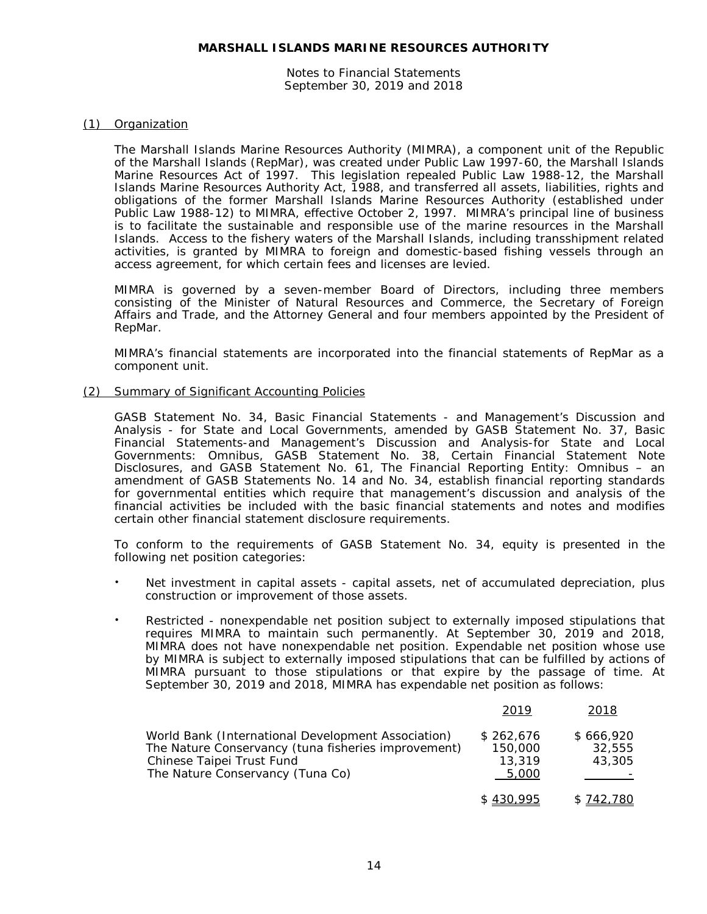Notes to Financial Statements September 30, 2019 and 2018

# (1) Organization

The Marshall Islands Marine Resources Authority (MIMRA), a component unit of the Republic of the Marshall Islands (RepMar), was created under Public Law 1997-60, the Marshall Islands Marine Resources Act of 1997. This legislation repealed Public Law 1988-12, the Marshall Islands Marine Resources Authority Act, 1988, and transferred all assets, liabilities, rights and obligations of the former Marshall Islands Marine Resources Authority (established under Public Law 1988-12) to MIMRA, effective October 2, 1997. MIMRA's principal line of business is to facilitate the sustainable and responsible use of the marine resources in the Marshall Islands. Access to the fishery waters of the Marshall Islands, including transshipment related activities, is granted by MIMRA to foreign and domestic-based fishing vessels through an access agreement, for which certain fees and licenses are levied.

MIMRA is governed by a seven-member Board of Directors, including three members consisting of the Minister of Natural Resources and Commerce, the Secretary of Foreign Affairs and Trade, and the Attorney General and four members appointed by the President of RepMar.

MIMRA's financial statements are incorporated into the financial statements of RepMar as a component unit.

# (2) Summary of Significant Accounting Policies

GASB Statement No. 34, *Basic Financial Statements - and Management's Discussion and Analysis - for State and Local Governments*, amended by GASB Statement No. 37, *Basic Financial Statements-and Management's Discussion and Analysis-for State and Local Governments: Omnibus*, GASB Statement No. 38, *Certain Financial Statement Note Disclosures*, and GASB Statement No. 61, *The Financial Reporting Entity: Omnibus – an amendment of GASB Statements No. 14 and No. 34*, establish financial reporting standards for governmental entities which require that management's discussion and analysis of the financial activities be included with the basic financial statements and notes and modifies certain other financial statement disclosure requirements.

To conform to the requirements of GASB Statement No. 34, equity is presented in the following net position categories:

- Net investment in capital assets capital assets, net of accumulated depreciation, plus construction or improvement of those assets.
- Restricted nonexpendable net position subject to externally imposed stipulations that requires MIMRA to maintain such permanently. At September 30, 2019 and 2018, MIMRA does not have nonexpendable net position. Expendable net position whose use by MIMRA is subject to externally imposed stipulations that can be fulfilled by actions of MIMRA pursuant to those stipulations or that expire by the passage of time. At September 30, 2019 and 2018, MIMRA has expendable net position as follows:

|                                                                                                                                                                            | 2019                                    | 2018                          |
|----------------------------------------------------------------------------------------------------------------------------------------------------------------------------|-----------------------------------------|-------------------------------|
| World Bank (International Development Association)<br>The Nature Conservancy (tuna fisheries improvement)<br>Chinese Taipei Trust Fund<br>The Nature Conservancy (Tuna Co) | \$262.676<br>150,000<br>13,319<br>5,000 | \$666,920<br>32,555<br>43,305 |
|                                                                                                                                                                            | \$430.995                               | \$742,780                     |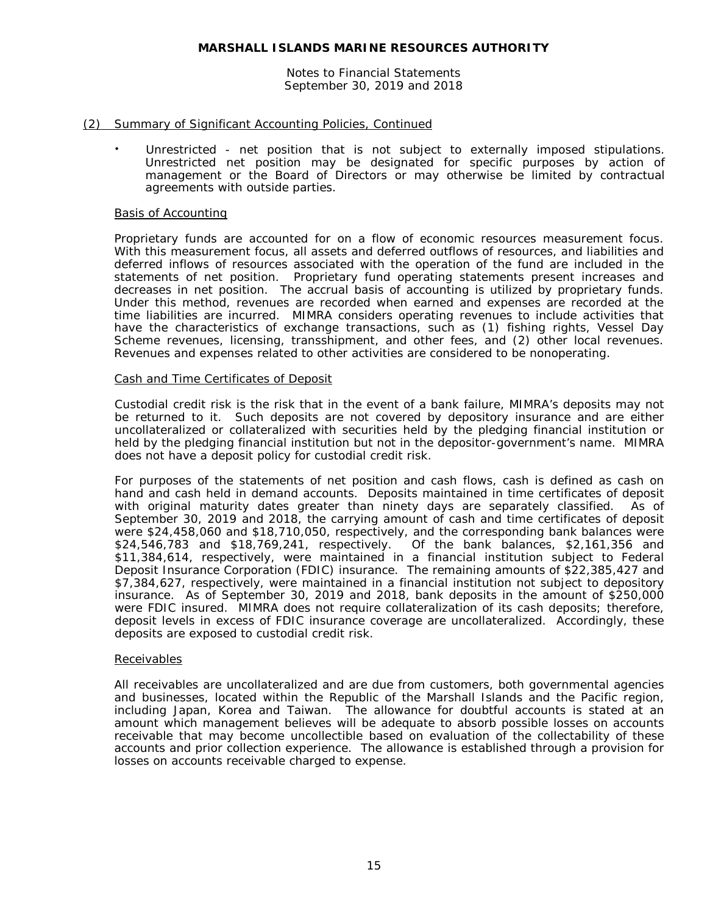Notes to Financial Statements September 30, 2019 and 2018

# (2) Summary of Significant Accounting Policies, Continued

 Unrestricted - net position that is not subject to externally imposed stipulations. Unrestricted net position may be designated for specific purposes by action of management or the Board of Directors or may otherwise be limited by contractual agreements with outside parties.

#### Basis of Accounting

Proprietary funds are accounted for on a flow of economic resources measurement focus. With this measurement focus, all assets and deferred outflows of resources, and liabilities and deferred inflows of resources associated with the operation of the fund are included in the statements of net position. Proprietary fund operating statements present increases and decreases in net position. The accrual basis of accounting is utilized by proprietary funds. Under this method, revenues are recorded when earned and expenses are recorded at the time liabilities are incurred. MIMRA considers operating revenues to include activities that have the characteristics of exchange transactions, such as (1) fishing rights, Vessel Day Scheme revenues, licensing, transshipment, and other fees, and (2) other local revenues. Revenues and expenses related to other activities are considered to be nonoperating.

# Cash and Time Certificates of Deposit

Custodial credit risk is the risk that in the event of a bank failure, MIMRA's deposits may not be returned to it. Such deposits are not covered by depository insurance and are either uncollateralized or collateralized with securities held by the pledging financial institution or held by the pledging financial institution but not in the depositor-government's name. MIMRA does not have a deposit policy for custodial credit risk.

For purposes of the statements of net position and cash flows, cash is defined as cash on hand and cash held in demand accounts. Deposits maintained in time certificates of deposit with original maturity dates greater than ninety days are separately classified. As of September 30, 2019 and 2018, the carrying amount of cash and time certificates of deposit were \$24,458,060 and \$18,710,050, respectively, and the corresponding bank balances were \$24,546,783 and \$18,769,241, respectively. Of the bank balances, \$2,161,356 and \$11,384,614, respectively, were maintained in a financial institution subject to Federal Deposit Insurance Corporation (FDIC) insurance. The remaining amounts of \$22,385,427 and \$7,384,627, respectively, were maintained in a financial institution not subject to depository insurance. As of September 30, 2019 and 2018, bank deposits in the amount of \$250,000 were FDIC insured. MIMRA does not require collateralization of its cash deposits; therefore, deposit levels in excess of FDIC insurance coverage are uncollateralized. Accordingly, these deposits are exposed to custodial credit risk.

#### Receivables

All receivables are uncollateralized and are due from customers, both governmental agencies and businesses, located within the Republic of the Marshall Islands and the Pacific region, including Japan, Korea and Taiwan. The allowance for doubtful accounts is stated at an amount which management believes will be adequate to absorb possible losses on accounts receivable that may become uncollectible based on evaluation of the collectability of these accounts and prior collection experience. The allowance is established through a provision for losses on accounts receivable charged to expense.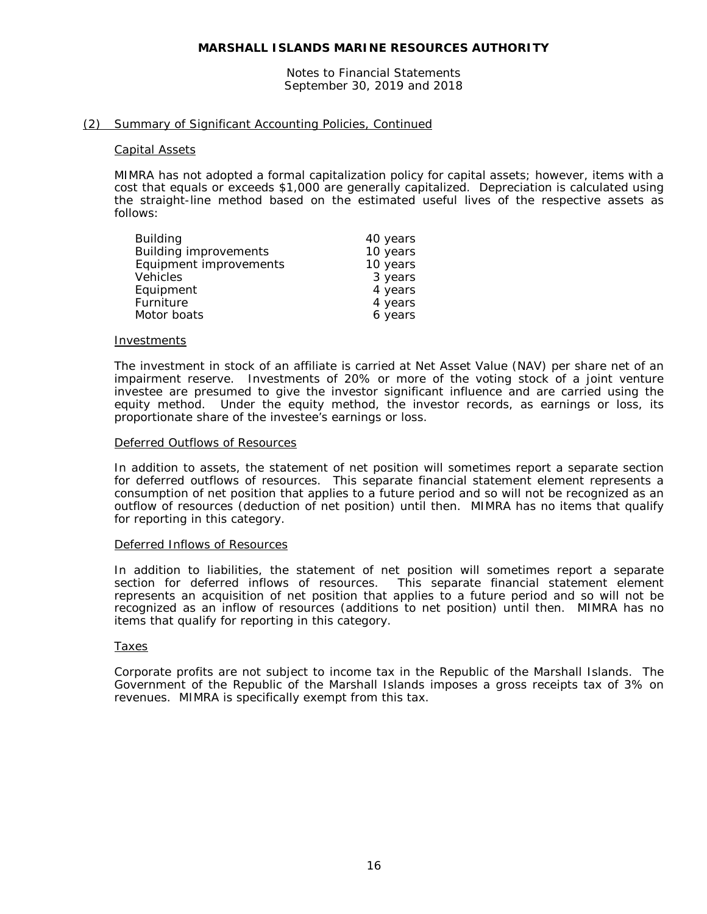Notes to Financial Statements September 30, 2019 and 2018

# (2) Summary of Significant Accounting Policies, Continued

#### Capital Assets

MIMRA has not adopted a formal capitalization policy for capital assets; however, items with a cost that equals or exceeds \$1,000 are generally capitalized. Depreciation is calculated using the straight-line method based on the estimated useful lives of the respective assets as follows:

| 40 years |
|----------|
| 10 years |
| 10 years |
| 3 years  |
| 4 years  |
| 4 years  |
| 6 years  |
|          |

#### Investments

The investment in stock of an affiliate is carried at Net Asset Value (NAV) per share net of an impairment reserve. Investments of 20% or more of the voting stock of a joint venture investee are presumed to give the investor significant influence and are carried using the equity method. Under the equity method, the investor records, as earnings or loss, its proportionate share of the investee's earnings or loss.

#### Deferred Outflows of Resources

In addition to assets, the statement of net position will sometimes report a separate section for deferred outflows of resources. This separate financial statement element represents a consumption of net position that applies to a future period and so will not be recognized as an outflow of resources (deduction of net position) until then. MIMRA has no items that qualify for reporting in this category.

#### Deferred Inflows of Resources

In addition to liabilities, the statement of net position will sometimes report a separate section for deferred inflows of resources. This separate financial statement element represents an acquisition of net position that applies to a future period and so will not be recognized as an inflow of resources (additions to net position) until then. MIMRA has no items that qualify for reporting in this category.

## **Taxes**

Corporate profits are not subject to income tax in the Republic of the Marshall Islands. The Government of the Republic of the Marshall Islands imposes a gross receipts tax of 3% on revenues. MIMRA is specifically exempt from this tax.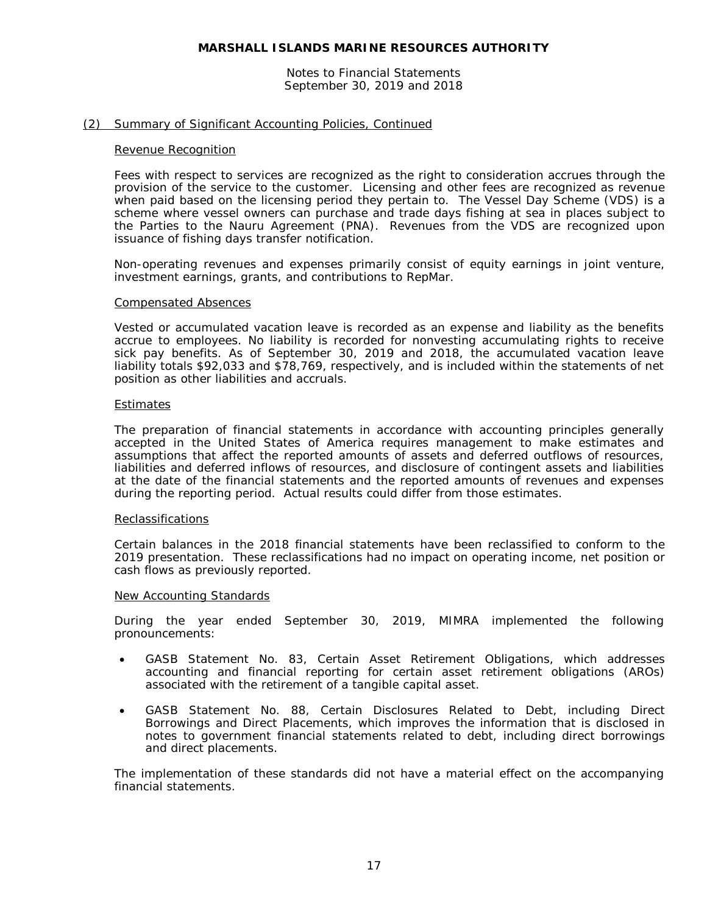Notes to Financial Statements September 30, 2019 and 2018

# (2) Summary of Significant Accounting Policies, Continued

#### Revenue Recognition

Fees with respect to services are recognized as the right to consideration accrues through the provision of the service to the customer. Licensing and other fees are recognized as revenue when paid based on the licensing period they pertain to. The Vessel Day Scheme (VDS) is a scheme where vessel owners can purchase and trade days fishing at sea in places subject to the Parties to the Nauru Agreement (PNA). Revenues from the VDS are recognized upon issuance of fishing days transfer notification.

Non-operating revenues and expenses primarily consist of equity earnings in joint venture, investment earnings, grants, and contributions to RepMar.

#### Compensated Absences

Vested or accumulated vacation leave is recorded as an expense and liability as the benefits accrue to employees. No liability is recorded for nonvesting accumulating rights to receive sick pay benefits. As of September 30, 2019 and 2018, the accumulated vacation leave liability totals \$92,033 and \$78,769, respectively, and is included within the statements of net position as other liabilities and accruals.

#### Estimates

The preparation of financial statements in accordance with accounting principles generally accepted in the United States of America requires management to make estimates and assumptions that affect the reported amounts of assets and deferred outflows of resources, liabilities and deferred inflows of resources, and disclosure of contingent assets and liabilities at the date of the financial statements and the reported amounts of revenues and expenses during the reporting period. Actual results could differ from those estimates.

#### Reclassifications

Certain balances in the 2018 financial statements have been reclassified to conform to the 2019 presentation. These reclassifications had no impact on operating income, net position or cash flows as previously reported.

#### New Accounting Standards

During the year ended September 30, 2019, MIMRA implemented the following pronouncements:

- GASB Statement No. 83, *Certain Asset Retirement Obligations*, which addresses accounting and financial reporting for certain asset retirement obligations (AROs) associated with the retirement of a tangible capital asset.
- GASB Statement No. 88, *Certain Disclosures Related to Debt, including Direct Borrowings and Direct Placements*, which improves the information that is disclosed in notes to government financial statements related to debt, including direct borrowings and direct placements.

The implementation of these standards did not have a material effect on the accompanying financial statements.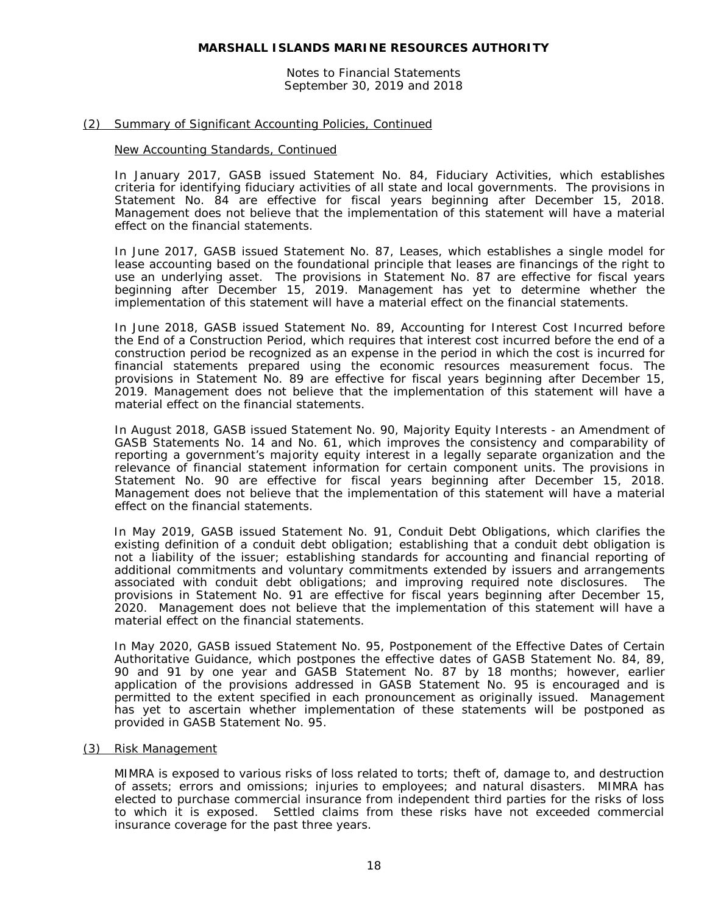Notes to Financial Statements September 30, 2019 and 2018

# (2) Summary of Significant Accounting Policies, Continued

#### New Accounting Standards, Continued

In January 2017, GASB issued Statement No. 84, *Fiduciary Activities*, which establishes criteria for identifying fiduciary activities of all state and local governments. The provisions in Statement No. 84 are effective for fiscal years beginning after December 15, 2018. Management does not believe that the implementation of this statement will have a material effect on the financial statements.

In June 2017, GASB issued Statement No. 87, *Leases*, which establishes a single model for lease accounting based on the foundational principle that leases are financings of the right to use an underlying asset. The provisions in Statement No. 87 are effective for fiscal years beginning after December 15, 2019. Management has yet to determine whether the implementation of this statement will have a material effect on the financial statements.

In June 2018, GASB issued Statement No. 89, *Accounting for Interest Cost Incurred before the End of a Construction Period*, which requires that interest cost incurred before the end of a construction period be recognized as an expense in the period in which the cost is incurred for financial statements prepared using the economic resources measurement focus. The provisions in Statement No. 89 are effective for fiscal years beginning after December 15, 2019. Management does not believe that the implementation of this statement will have a material effect on the financial statements.

In August 2018, GASB issued Statement No. 90, *Majority Equity Interests - an Amendment of GASB Statements No. 14 and No. 61*, which improves the consistency and comparability of reporting a government's majority equity interest in a legally separate organization and the relevance of financial statement information for certain component units. The provisions in Statement No. 90 are effective for fiscal years beginning after December 15, 2018. Management does not believe that the implementation of this statement will have a material effect on the financial statements.

In May 2019, GASB issued Statement No. 91, *Conduit Debt Obligations*, which clarifies the existing definition of a conduit debt obligation; establishing that a conduit debt obligation is not a liability of the issuer; establishing standards for accounting and financial reporting of additional commitments and voluntary commitments extended by issuers and arrangements associated with conduit debt obligations; and improving required note disclosures. The provisions in Statement No. 91 are effective for fiscal years beginning after December 15, 2020. Management does not believe that the implementation of this statement will have a material effect on the financial statements.

In May 2020, GASB issued Statement No. 95, *Postponement of the Effective Dates of Certain Authoritative Guidance*, which postpones the effective dates of GASB Statement No. 84, 89, 90 and 91 by one year and GASB Statement No. 87 by 18 months; however, earlier application of the provisions addressed in GASB Statement No. 95 is encouraged and is permitted to the extent specified in each pronouncement as originally issued. Management has yet to ascertain whether implementation of these statements will be postponed as provided in GASB Statement No. 95.

# (3) Risk Management

MIMRA is exposed to various risks of loss related to torts; theft of, damage to, and destruction of assets; errors and omissions; injuries to employees; and natural disasters. MIMRA has elected to purchase commercial insurance from independent third parties for the risks of loss to which it is exposed. Settled claims from these risks have not exceeded commercial insurance coverage for the past three years.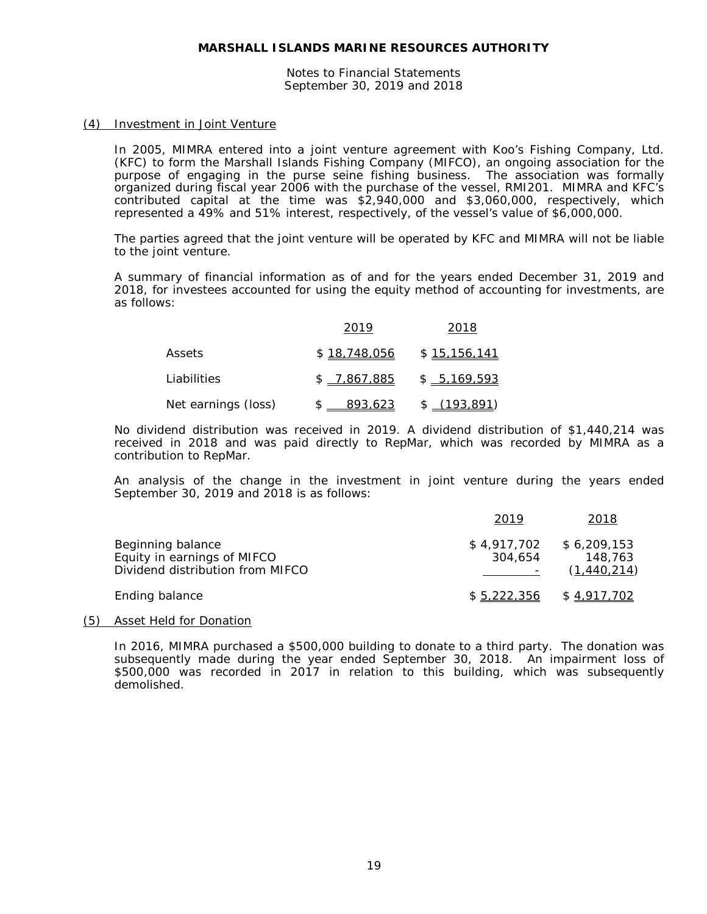Notes to Financial Statements September 30, 2019 and 2018

# (4) Investment in Joint Venture

In 2005, MIMRA entered into a joint venture agreement with Koo's Fishing Company, Ltd. (KFC) to form the Marshall Islands Fishing Company (MIFCO), an ongoing association for the purpose of engaging in the purse seine fishing business. The association was formally organized during fiscal year 2006 with the purchase of the vessel, RMI201. MIMRA and KFC's contributed capital at the time was \$2,940,000 and \$3,060,000, respectively, which represented a 49% and 51% interest, respectively, of the vessel's value of \$6,000,000.

The parties agreed that the joint venture will be operated by KFC and MIMRA will not be liable to the joint venture.

A summary of financial information as of and for the years ended December 31, 2019 and 2018, for investees accounted for using the equity method of accounting for investments, are as follows:

|                     | 2019         | 2018         |
|---------------------|--------------|--------------|
| Assets              | \$18,748,056 | \$15,156,141 |
| Liabilities         | \$7,867,885  | \$ 5,169,593 |
| Net earnings (loss) | 893.623      | \$ (193,891) |

No dividend distribution was received in 2019. A dividend distribution of \$1,440,214 was received in 2018 and was paid directly to RepMar, which was recorded by MIMRA as a contribution to RepMar.

An analysis of the change in the investment in joint venture during the years ended September 30, 2019 and 2018 is as follows:

|                                                                                      | 2019                   | 2018                                  |
|--------------------------------------------------------------------------------------|------------------------|---------------------------------------|
| Beginning balance<br>Equity in earnings of MIFCO<br>Dividend distribution from MIFCO | \$4,917,702<br>304.654 | \$6,209,153<br>148,763<br>(1,440,214) |
| Ending balance                                                                       | \$5,222,356            | \$4,917,702                           |

#### (5) Asset Held for Donation

In 2016, MIMRA purchased a \$500,000 building to donate to a third party. The donation was subsequently made during the year ended September 30, 2018. An impairment loss of \$500,000 was recorded in 2017 in relation to this building, which was subsequently demolished.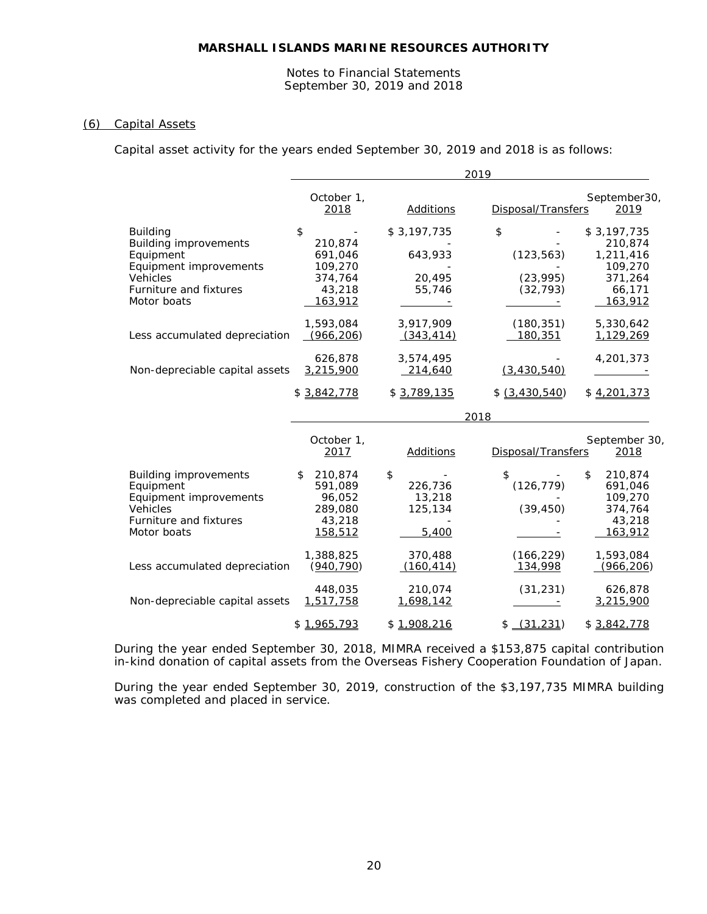#### Notes to Financial Statements September 30, 2019 and 2018

# (6) Capital Assets

Capital asset activity for the years ended September 30, 2019 and 2018 is as follows:

|                                                                                                                                                    |                                                                     |                                                         | 2019                                       |                                                                                |
|----------------------------------------------------------------------------------------------------------------------------------------------------|---------------------------------------------------------------------|---------------------------------------------------------|--------------------------------------------|--------------------------------------------------------------------------------|
|                                                                                                                                                    | October 1,<br>2018                                                  | <b>Additions</b>                                        | Disposal/Transfers                         | September30,<br>2019                                                           |
| <b>Building</b><br><b>Building improvements</b><br>Equipment<br>Equipment improvements<br><b>Vehicles</b><br>Furniture and fixtures<br>Motor boats | \$<br>210,874<br>691,046<br>109,270<br>374,764<br>43,218<br>163,912 | \$3,197,735<br>643,933<br>20,495<br>55,746              | \$<br>(123, 563)<br>(23, 995)<br>(32, 793) | \$3,197,735<br>210,874<br>1,211,416<br>109,270<br>371,264<br>66,171<br>163,912 |
| Less accumulated depreciation                                                                                                                      | 1,593,084<br>(966, 206)                                             | 3,917,909<br>(343, 414)                                 | (180, 351)<br>180,351                      | 5,330,642<br>1,129,269                                                         |
| Non-depreciable capital assets                                                                                                                     | 626,878<br>3,215,900                                                | 3,574,495<br>214,640                                    | (3,430,540)                                | 4,201,373                                                                      |
|                                                                                                                                                    | \$3,842,778                                                         | \$3,789,135                                             | \$ (3,430,540)<br>2018                     | \$4,201,373                                                                    |
|                                                                                                                                                    | October 1,<br>2017                                                  | Additions                                               | Disposal/Transfers                         | September 30,<br>2018                                                          |
| <b>Building improvements</b><br>Equipment<br>Equipment improvements<br>Vehicles<br>Furniture and fixtures<br>Motor boats                           | 210,874<br>591,089<br>96,052<br>289,080<br>43,218<br>158,512        | $\mathfrak{S}$<br>226,736<br>13,218<br>125,134<br>5,400 | \$<br>(126, 779)<br>(39, 450)              | \$<br>210,874<br>691,046<br>109,270<br>374,764<br>43,218<br>163,912            |
| Less accumulated depreciation                                                                                                                      | 1,388,825<br>(940, 790)                                             | 370,488<br>(160, 414)                                   | (166, 229)<br>134,998                      | 1,593,084<br>(966, 206)                                                        |
| Non-depreciable capital assets                                                                                                                     | 448,035<br>1,517,758                                                | 210,074<br>1,698,142                                    | (31, 231)                                  | 626,878<br>3,215,900                                                           |
|                                                                                                                                                    | \$1,965,793                                                         | \$1,908,216                                             | $$-(31,231)$                               | \$3,842,778                                                                    |

During the year ended September 30, 2018, MIMRA received a \$153,875 capital contribution in-kind donation of capital assets from the Overseas Fishery Cooperation Foundation of Japan.

During the year ended September 30, 2019, construction of the \$3,197,735 MIMRA building was completed and placed in service.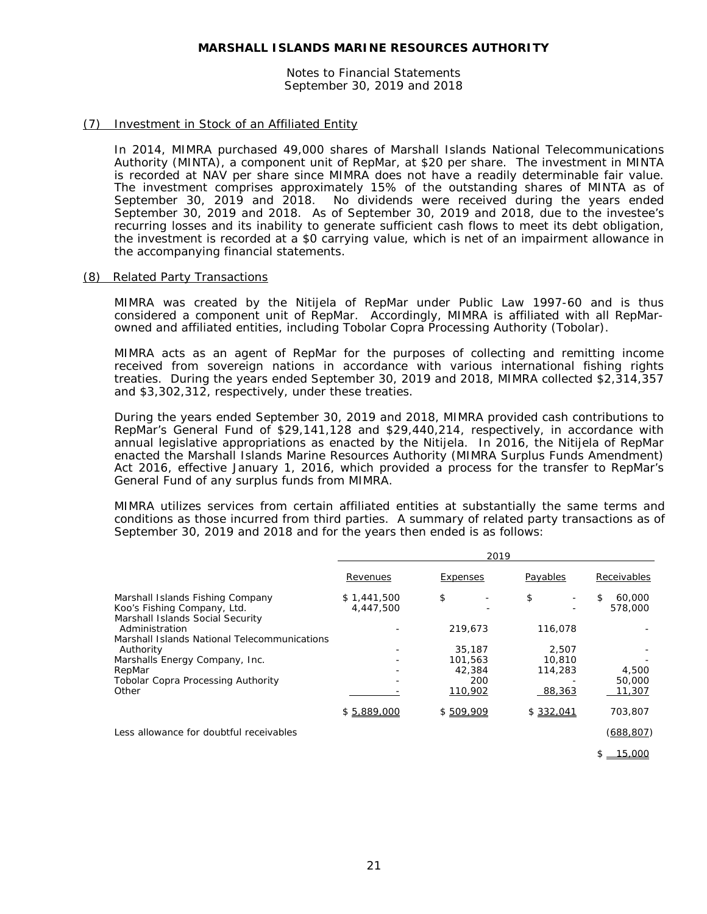Notes to Financial Statements September 30, 2019 and 2018

# (7) Investment in Stock of an Affiliated Entity

In 2014, MIMRA purchased 49,000 shares of Marshall Islands National Telecommunications Authority (MINTA), a component unit of RepMar, at \$20 per share. The investment in MINTA is recorded at NAV per share since MIMRA does not have a readily determinable fair value. The investment comprises approximately 15% of the outstanding shares of MINTA as of September 30, 2019 and 2018. No dividends were received during the years ended September 30, 2019 and 2018. As of September 30, 2019 and 2018, due to the investee's recurring losses and its inability to generate sufficient cash flows to meet its debt obligation, the investment is recorded at a \$0 carrying value, which is net of an impairment allowance in the accompanying financial statements.

#### (8) Related Party Transactions

MIMRA was created by the Nitijela of RepMar under Public Law 1997-60 and is thus considered a component unit of RepMar. Accordingly, MIMRA is affiliated with all RepMarowned and affiliated entities, including Tobolar Copra Processing Authority (Tobolar).

MIMRA acts as an agent of RepMar for the purposes of collecting and remitting income received from sovereign nations in accordance with various international fishing rights treaties. During the years ended September 30, 2019 and 2018, MIMRA collected \$2,314,357 and \$3,302,312, respectively, under these treaties.

During the years ended September 30, 2019 and 2018, MIMRA provided cash contributions to RepMar's General Fund of \$29,141,128 and \$29,440,214, respectively, in accordance with annual legislative appropriations as enacted by the Nitijela. In 2016, the Nitijela of RepMar enacted the Marshall Islands Marine Resources Authority (MIMRA Surplus Funds Amendment) Act 2016, effective January 1, 2016, which provided a process for the transfer to RepMar's General Fund of any surplus funds from MIMRA.

MIMRA utilizes services from certain affiliated entities at substantially the same terms and conditions as those incurred from third parties. A summary of related party transactions as of September 30, 2019 and 2018 and for the years then ended is as follows:

|                                                                                                     |                          | 2019              |                 |                         |
|-----------------------------------------------------------------------------------------------------|--------------------------|-------------------|-----------------|-------------------------|
|                                                                                                     | Revenues                 | <b>Expenses</b>   | Payables        | Receivables             |
| Marshall Islands Fishing Company<br>Koo's Fishing Company, Ltd.<br>Marshall Islands Social Security | \$1,441,500<br>4,447,500 | \$                | \$              | 60,000<br>£.<br>578,000 |
| Administration<br>Marshall Islands National Telecommunications                                      |                          | 219.673           | 116,078         |                         |
| Authority<br>Marshalls Energy Company, Inc.                                                         |                          | 35,187<br>101.563 | 2.507<br>10,810 |                         |
| RepMar<br><b>Tobolar Copra Processing Authority</b>                                                 |                          | 42,384<br>200     | 114,283         | 4,500<br>50,000         |
| Other                                                                                               |                          | 110,902           | 88,363          | 11,307                  |
|                                                                                                     | \$5.889.000              | \$509,909         | \$332.041       | 703,807                 |
| Less allowance for doubtful receivables                                                             |                          |                   |                 | (688,807)               |

\$ 15,000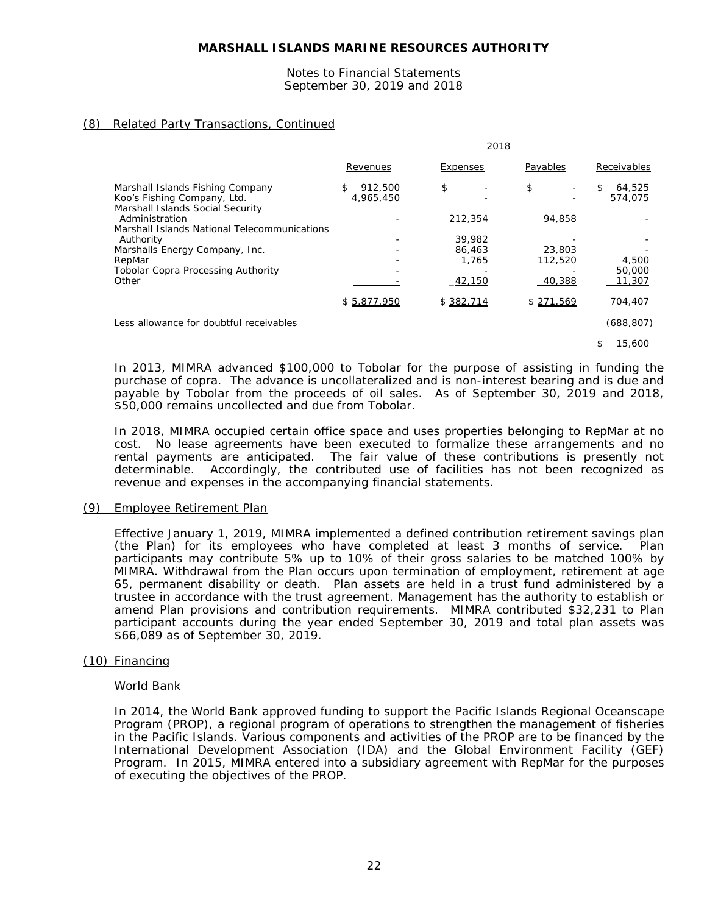Notes to Financial Statements September 30, 2019 and 2018

# (8) Related Party Transactions, Continued

|                                                                                                     | 2018                       |                 |                   |                   |
|-----------------------------------------------------------------------------------------------------|----------------------------|-----------------|-------------------|-------------------|
|                                                                                                     | Revenues                   | Expenses        | Payables          | Receivables       |
| Marshall Islands Fishing Company<br>Koo's Fishing Company, Ltd.<br>Marshall Islands Social Security | 912,500<br>\$<br>4,965,450 | \$              | \$                | 64,525<br>574,075 |
| Administration<br>Marshall Islands National Telecommunications                                      |                            | 212,354         | 94,858            |                   |
| Authority                                                                                           |                            | 39,982          |                   |                   |
| Marshalls Energy Company, Inc.<br>RepMar                                                            |                            | 86,463<br>1,765 | 23,803<br>112,520 | 4,500             |
| <b>Tobolar Copra Processing Authority</b><br>Other                                                  |                            | $-42,150$       | 40,388            | 50,000<br>11,307  |
|                                                                                                     | \$5,877,950                | \$382,714       | \$271,569         | 704,407           |
| Less allowance for doubtful receivables                                                             |                            |                 |                   | (688, 807)        |
|                                                                                                     |                            |                 |                   | 15,600            |

In 2013, MIMRA advanced \$100,000 to Tobolar for the purpose of assisting in funding the purchase of copra. The advance is uncollateralized and is non-interest bearing and is due and payable by Tobolar from the proceeds of oil sales. As of September 30, 2019 and 2018, \$50,000 remains uncollected and due from Tobolar.

In 2018, MIMRA occupied certain office space and uses properties belonging to RepMar at no cost. No lease agreements have been executed to formalize these arrangements and no rental payments are anticipated. The fair value of these contributions is presently not determinable. Accordingly, the contributed use of facilities has not been recognized as revenue and expenses in the accompanying financial statements.

# (9) Employee Retirement Plan

Effective January 1, 2019, MIMRA implemented a defined contribution retirement savings plan (the Plan) for its employees who have completed at least 3 months of service. Plan participants may contribute 5% up to 10% of their gross salaries to be matched 100% by MIMRA. Withdrawal from the Plan occurs upon termination of employment, retirement at age 65, permanent disability or death. Plan assets are held in a trust fund administered by a trustee in accordance with the trust agreement. Management has the authority to establish or amend Plan provisions and contribution requirements. MIMRA contributed \$32,231 to Plan participant accounts during the year ended September 30, 2019 and total plan assets was \$66,089 as of September 30, 2019.

# (10) Financing

# World Bank

In 2014, the World Bank approved funding to support the Pacific Islands Regional Oceanscape Program (PROP), a regional program of operations to strengthen the management of fisheries in the Pacific Islands. Various components and activities of the PROP are to be financed by the International Development Association (IDA) and the Global Environment Facility (GEF) Program. In 2015, MIMRA entered into a subsidiary agreement with RepMar for the purposes of executing the objectives of the PROP.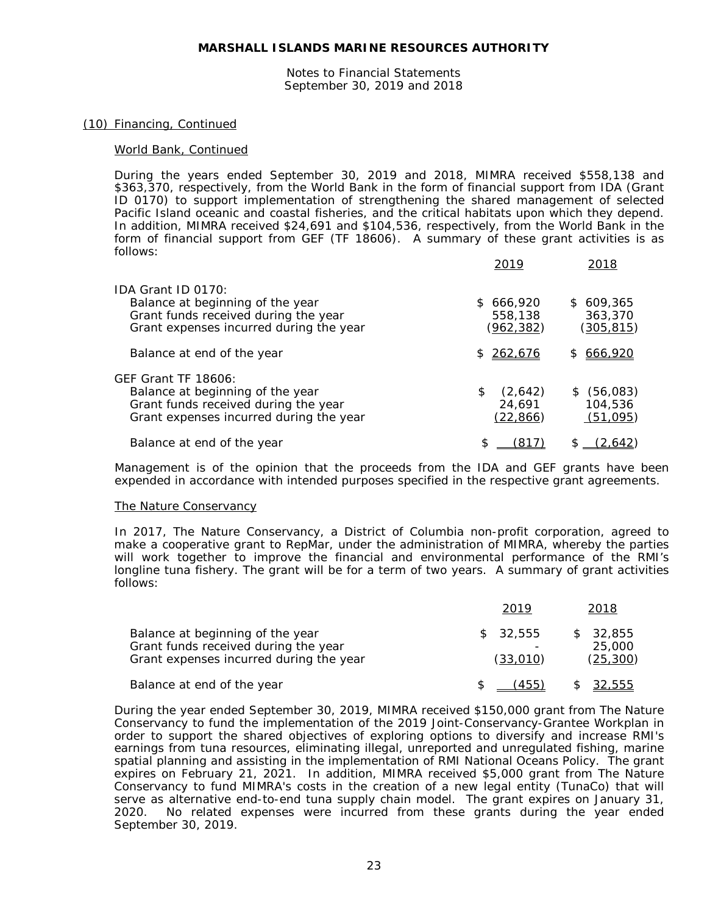Notes to Financial Statements September 30, 2019 and 2018

# (10) Financing, Continued

#### World Bank, Continued

During the years ended September 30, 2019 and 2018, MIMRA received \$558,138 and \$363,370, respectively, from the World Bank in the form of financial support from IDA (Grant ID 0170) to support implementation of strengthening the shared management of selected Pacific Island oceanic and coastal fisheries, and the critical habitats upon which they depend. In addition, MIMRA received \$24,691 and \$104,536, respectively, from the World Bank in the form of financial support from GEF (TF 18606). A summary of these grant activities is as follows: 2019 2018

|                                                                                                                                            | <b>2017</b>                          | 2010                               |
|--------------------------------------------------------------------------------------------------------------------------------------------|--------------------------------------|------------------------------------|
| IDA Grant ID 0170:<br>Balance at beginning of the year<br>Grant funds received during the year<br>Grant expenses incurred during the year  | \$666,920<br>558,138<br>(962, 382)   | \$609,365<br>363,370<br>(305, 815) |
| Balance at end of the year                                                                                                                 | \$262,676                            | 666,920<br>S.                      |
| GEF Grant TF 18606:<br>Balance at beginning of the year<br>Grant funds received during the year<br>Grant expenses incurred during the year | (2,642)<br>\$<br>24,691<br>(22, 866) | \$ (56,083)<br>104,536<br>(51,095) |
| Balance at end of the year                                                                                                                 | 8171                                 | (2,642)                            |

Management is of the opinion that the proceeds from the IDA and GEF grants have been expended in accordance with intended purposes specified in the respective grant agreements.

#### The Nature Conservancy

In 2017, The Nature Conservancy, a District of Columbia non-profit corporation, agreed to make a cooperative grant to RepMar, under the administration of MIMRA, whereby the parties will work together to improve the financial and environmental performance of the RMI's longline tuna fishery. The grant will be for a term of two years. A summary of grant activities follows:

|                                                                                                                     | 2019                 | 2018                            |
|---------------------------------------------------------------------------------------------------------------------|----------------------|---------------------------------|
| Balance at beginning of the year<br>Grant funds received during the year<br>Grant expenses incurred during the year | \$32.555<br>(33,010) | \$32,855<br>25,000<br>(25, 300) |
| Balance at end of the year                                                                                          | (455)                | $$ \frac{32,555}{ }$            |

During the year ended September 30, 2019, MIMRA received \$150,000 grant from The Nature Conservancy to fund the implementation of the 2019 Joint-Conservancy-Grantee Workplan in order to support the shared objectives of exploring options to diversify and increase RMI's earnings from tuna resources, eliminating illegal, unreported and unregulated fishing, marine spatial planning and assisting in the implementation of RMI National Oceans Policy. The grant expires on February 21, 2021. In addition, MIMRA received \$5,000 grant from The Nature Conservancy to fund MIMRA's costs in the creation of a new legal entity (TunaCo) that will serve as alternative end-to-end tuna supply chain model. The grant expires on January 31,<br>2020. No related expenses were incurred from these grants during the year ended No related expenses were incurred from these grants during the year ended September 30, 2019.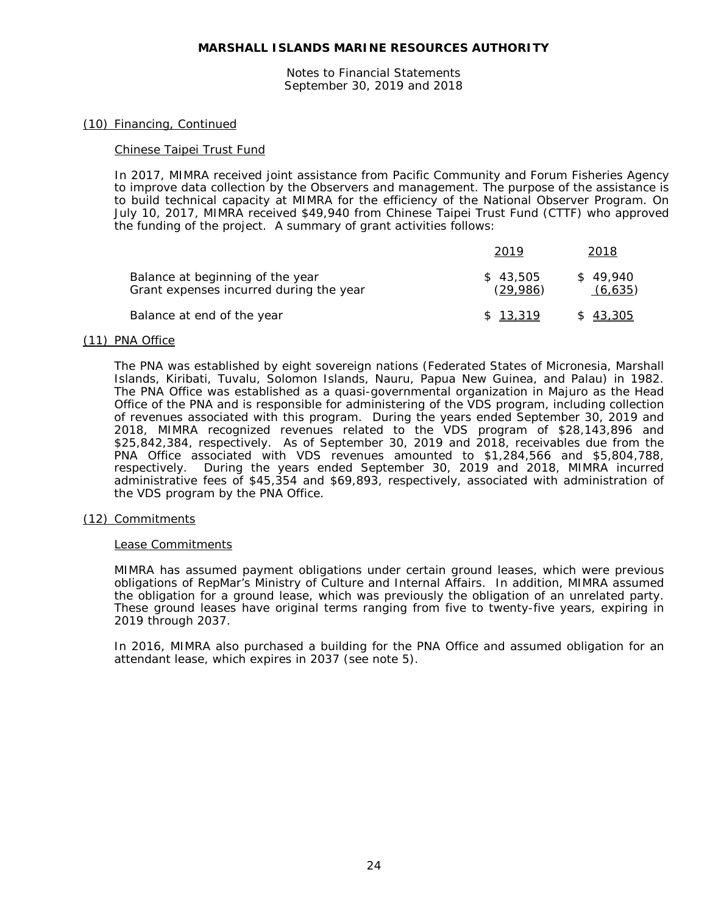Notes to Financial Statements September 30, 2019 and 2018

# (10) Financing, Continued

#### Chinese Taipei Trust Fund

In 2017, MIMRA received joint assistance from Pacific Community and Forum Fisheries Agency to improve data collection by the Observers and management. The purpose of the assistance is to build technical capacity at MIMRA for the efficiency of the National Observer Program. On July 10, 2017, MIMRA received \$49,940 from Chinese Taipei Trust Fund (CTTF) who approved the funding of the project. A summary of grant activities follows:

|                                                                             | 2019                 | 2018                 |
|-----------------------------------------------------------------------------|----------------------|----------------------|
| Balance at beginning of the year<br>Grant expenses incurred during the year | \$43.505<br>(29.986) | \$49,940<br>(6, 635) |
| Balance at end of the year                                                  | \$13,319             | \$43,305             |

#### (11) PNA Office

The PNA was established by eight sovereign nations (Federated States of Micronesia, Marshall Islands, Kiribati, Tuvalu, Solomon Islands, Nauru, Papua New Guinea, and Palau) in 1982. The PNA Office was established as a quasi-governmental organization in Majuro as the Head Office of the PNA and is responsible for administering of the VDS program, including collection of revenues associated with this program. During the years ended September 30, 2019 and 2018, MIMRA recognized revenues related to the VDS program of \$28,143,896 and \$25,842,384, respectively. As of September 30, 2019 and 2018, receivables due from the PNA Office associated with VDS revenues amounted to \$1,284,566 and \$5,804,788, respectively. During the years ended September 30, 2019 and 2018, MIMRA incurred administrative fees of \$45,354 and \$69,893, respectively, associated with administration of the VDS program by the PNA Office.

#### (12) Commitments

#### Lease Commitments

MIMRA has assumed payment obligations under certain ground leases, which were previous obligations of RepMar's Ministry of Culture and Internal Affairs. In addition, MIMRA assumed the obligation for a ground lease, which was previously the obligation of an unrelated party. These ground leases have original terms ranging from five to twenty-five years, expiring in 2019 through 2037.

In 2016, MIMRA also purchased a building for the PNA Office and assumed obligation for an attendant lease, which expires in 2037 (see note 5).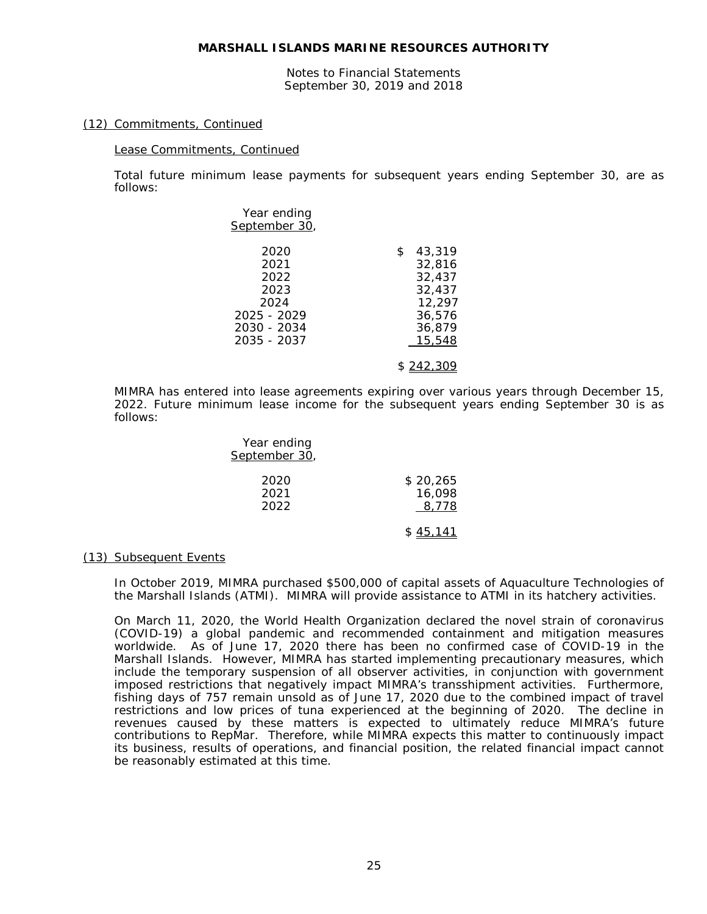Notes to Financial Statements September 30, 2019 and 2018

# (12) Commitments, Continued

# Lease Commitments, Continued

Total future minimum lease payments for subsequent years ending September 30, are as follows:

| Year ending<br>September 30,                                                      |                                                                                    |
|-----------------------------------------------------------------------------------|------------------------------------------------------------------------------------|
| 2020<br>2021<br>2022<br>2023<br>2024<br>2025 - 2029<br>2030 - 2034<br>2035 - 2037 | 43,319<br>\$<br>32,816<br>32,437<br>32,437<br>12,297<br>36,576<br>36,879<br>15,548 |
|                                                                                   | \$242,309                                                                          |

MIMRA has entered into lease agreements expiring over various years through December 15, 2022. Future minimum lease income for the subsequent years ending September 30 is as follows:

| Year ending<br>September 30, |                             |
|------------------------------|-----------------------------|
| 2020<br>2021<br>2022         | \$20,265<br>16,098<br>8.778 |
|                              | 45,141                      |

# (13) Subsequent Events

In October 2019, MIMRA purchased \$500,000 of capital assets of Aquaculture Technologies of the Marshall Islands (ATMI). MIMRA will provide assistance to ATMI in its hatchery activities.

On March 11, 2020, the World Health Organization declared the novel strain of coronavirus (COVID-19) a global pandemic and recommended containment and mitigation measures worldwide. As of June 17, 2020 there has been no confirmed case of COVID-19 in the Marshall Islands. However, MIMRA has started implementing precautionary measures, which include the temporary suspension of all observer activities, in conjunction with government imposed restrictions that negatively impact MIMRA's transshipment activities. Furthermore, fishing days of 757 remain unsold as of June 17, 2020 due to the combined impact of travel restrictions and low prices of tuna experienced at the beginning of 2020. The decline in revenues caused by these matters is expected to ultimately reduce MIMRA's future contributions to RepMar. Therefore, while MIMRA expects this matter to continuously impact its business, results of operations, and financial position, the related financial impact cannot be reasonably estimated at this time.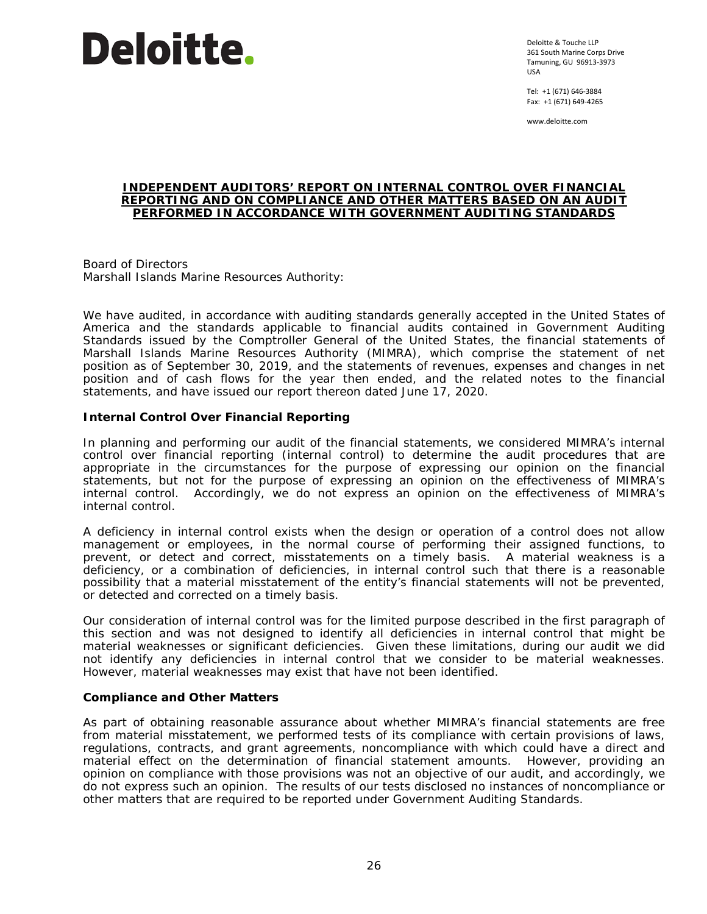

Deloitte & Touche LLP 361 South Marine Corps Drive Tamuning, GU 96913-3973 USA

Tel: +1 (671) 646-3884 Fax: +1 (671) 649-4265

www.deloitte.com

#### **INDEPENDENT AUDITORS' REPORT ON INTERNAL CONTROL OVER FINANCIAL REPORTING AND ON COMPLIANCE AND OTHER MATTERS BASED ON AN AUDIT PERFORMED IN ACCORDANCE WITH** *GOVERNMENT AUDITING STANDARDS*

Board of Directors Marshall Islands Marine Resources Authority:

We have audited, in accordance with auditing standards generally accepted in the United States of America and the standards applicable to financial audits contained in *Government Auditing Standards* issued by the Comptroller General of the United States, the financial statements of Marshall Islands Marine Resources Authority (MIMRA), which comprise the statement of net position as of September 30, 2019, and the statements of revenues, expenses and changes in net position and of cash flows for the year then ended, and the related notes to the financial statements, and have issued our report thereon dated June 17, 2020.

# **Internal Control Over Financial Reporting**

In planning and performing our audit of the financial statements, we considered MIMRA's internal control over financial reporting (internal control) to determine the audit procedures that are appropriate in the circumstances for the purpose of expressing our opinion on the financial statements, but not for the purpose of expressing an opinion on the effectiveness of MIMRA's internal control. Accordingly, we do not express an opinion on the effectiveness of MIMRA's internal control.

A *deficiency in internal control* exists when the design or operation of a control does not allow management or employees, in the normal course of performing their assigned functions, to prevent, or detect and correct, misstatements on a timely basis. A *material weakness* is a deficiency, or a combination of deficiencies, in internal control such that there is a reasonable possibility that a material misstatement of the entity's financial statements will not be prevented, or detected and corrected on a timely basis.

Our consideration of internal control was for the limited purpose described in the first paragraph of this section and was not designed to identify all deficiencies in internal control that might be material weaknesses or significant deficiencies. Given these limitations, during our audit we did not identify any deficiencies in internal control that we consider to be material weaknesses. However, material weaknesses may exist that have not been identified.

# **Compliance and Other Matters**

As part of obtaining reasonable assurance about whether MIMRA's financial statements are free from material misstatement, we performed tests of its compliance with certain provisions of laws, regulations, contracts, and grant agreements, noncompliance with which could have a direct and material effect on the determination of financial statement amounts. However, providing an opinion on compliance with those provisions was not an objective of our audit, and accordingly, we do not express such an opinion. The results of our tests disclosed no instances of noncompliance or other matters that are required to be reported under *Government Auditing Standards*.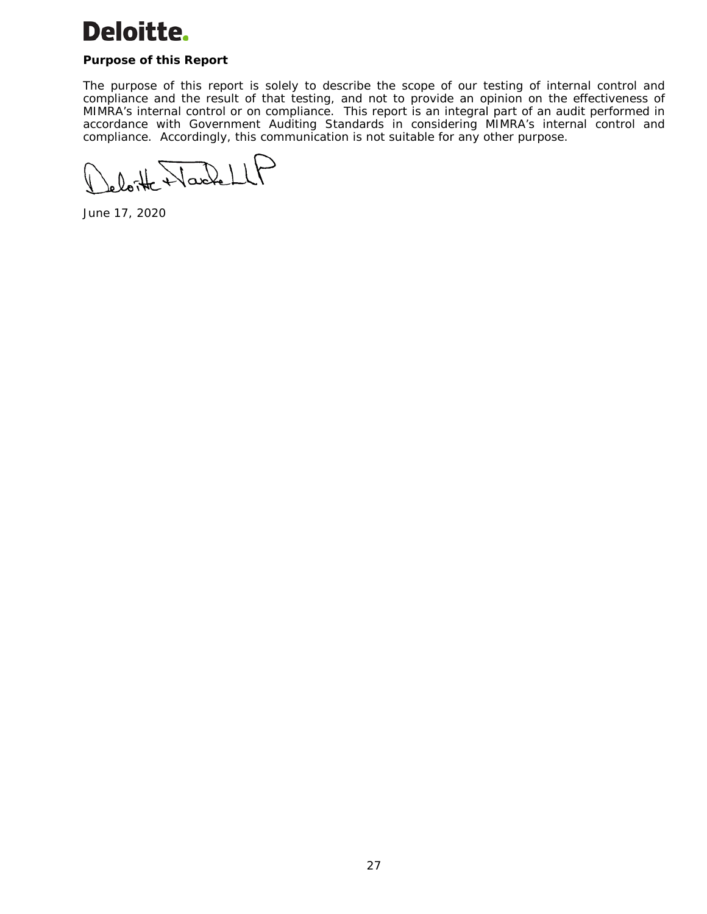# Deloitte.

# **Purpose of this Report**

The purpose of this report is solely to describe the scope of our testing of internal control and compliance and the result of that testing, and not to provide an opinion on the effectiveness of MIMRA's internal control or on compliance. This report is an integral part of an audit performed in accordance with *Government Auditing Standards* in considering MIMRA's internal control and compliance. Accordingly, this communication is not suitable for any other purpose.

 $\sqrt{d}$ 

June 17, 2020